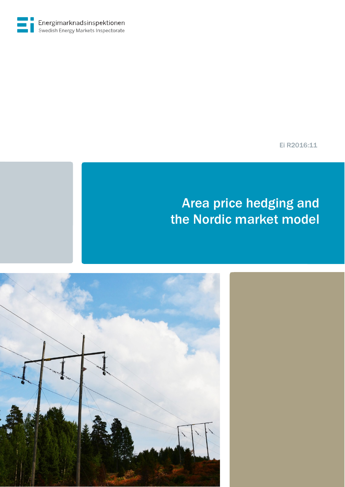Ei R2016:11

# Area price hedging and the Nordic market model

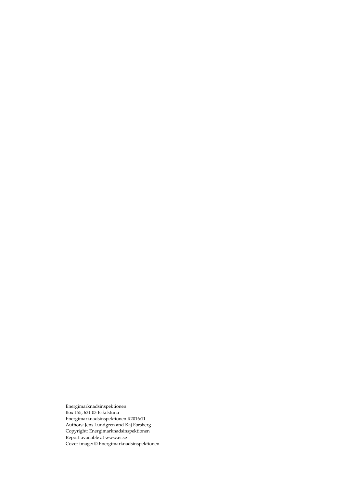Energimarknadsinspektionen Box 155, 631 03 Eskilstuna Energimarknadsinspektionen R2016:11 Authors: Jens Lundgren and Kaj Forsberg Copyright: Energimarknadsinspektione[n](http://www.ei.se/) [Report available at www.ei.se](http://www.ei.se/)  Cover image: © Energimarknadsinspektionen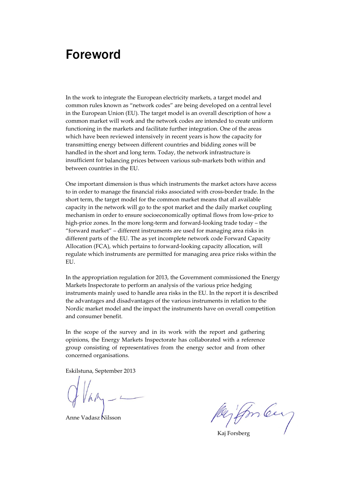# Foreword

In the work to integrate the European electricity markets, a target model and common rules known as "network codes" are being developed on a central level in the European Union (EU). The target model is an overall description of how a common market will work and the network codes are intended to create uniform functioning in the markets and facilitate further integration. One of the areas which have been reviewed intensively in recent years is how the capacity for transmitting energy between different countries and bidding zones will be handled in the short and long term. Today, the network infrastructure is insufficient for balancing prices between various sub-markets both within and between countries in the EU.

One important dimension is thus which instruments the market actors have access to in order to manage the financial risks associated with cross-border trade. In the short term, the target model for the common market means that all available capacity in the network will go to the spot market and the daily market coupling mechanism in order to ensure socioeconomically optimal flows from low-price to high-price zones. In the more long-term and forward-looking trade today – the "forward market" – different instruments are used for managing area risks in different parts of the EU. The as yet incomplete network code Forward Capacity Allocation (FCA), which pertains to forward-looking capacity allocation, will regulate which instruments are permitted for managing area price risks within the EU.

In the appropriation regulation for 2013, the Government commissioned the Energy Markets Inspectorate to perform an analysis of the various price hedging instruments mainly used to handle area risks in the EU. In the report it is described the advantages and disadvantages of the various instruments in relation to the Nordic market model and the impact the instruments have on overall competition and consumer benefit.

In the scope of the survey and in its work with the report and gathering opinions, the Energy Markets Inspectorate has collaborated with a reference group consisting of representatives from the energy sector and from other concerned organisations.

Eskilstuna, September 2013

Anne Vadasz Nilsson

Kaj Forsberg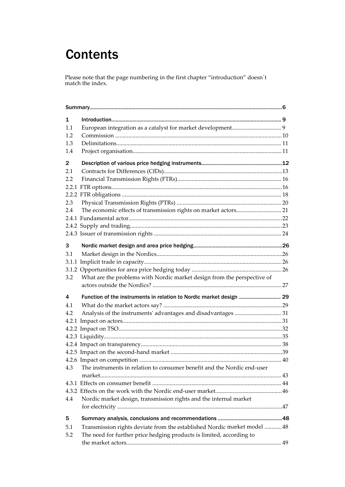# **Contents**

Please note that the page numbering in the first chapter "introduction" doesn´t match the index.

| 1            |                                                                          |  |  |
|--------------|--------------------------------------------------------------------------|--|--|
| 1.1          |                                                                          |  |  |
| 1.2          |                                                                          |  |  |
| 1.3          |                                                                          |  |  |
| 1.4          |                                                                          |  |  |
| $\mathbf{2}$ |                                                                          |  |  |
| 2.1          |                                                                          |  |  |
| 2.2          |                                                                          |  |  |
|              |                                                                          |  |  |
|              |                                                                          |  |  |
| 2.3          |                                                                          |  |  |
| 2.4          |                                                                          |  |  |
|              |                                                                          |  |  |
|              |                                                                          |  |  |
|              |                                                                          |  |  |
| 3            |                                                                          |  |  |
|              |                                                                          |  |  |
| 3.1          |                                                                          |  |  |
|              |                                                                          |  |  |
|              |                                                                          |  |  |
| 3.2          | What are the problems with Nordic market design from the perspective of  |  |  |
|              |                                                                          |  |  |
| 4            | Function of the instruments in relation to Nordic market design  29      |  |  |
| 4.1          |                                                                          |  |  |
| 4.2          |                                                                          |  |  |
|              |                                                                          |  |  |
|              |                                                                          |  |  |
|              |                                                                          |  |  |
|              |                                                                          |  |  |
|              |                                                                          |  |  |
|              |                                                                          |  |  |
| 4.3          | The instruments in relation to consumer benefit and the Nordic end-user  |  |  |
|              |                                                                          |  |  |
|              |                                                                          |  |  |
|              |                                                                          |  |  |
| 4.4          | Nordic market design, transmission rights and the internal market        |  |  |
|              |                                                                          |  |  |
| 5            |                                                                          |  |  |
| 5.1          | Transmission rights deviate from the established Nordic market model  48 |  |  |
| 5.2          | The need for further price hedging products is limited, according to     |  |  |
|              |                                                                          |  |  |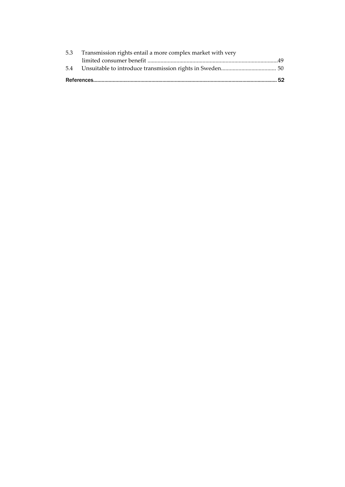| 5.3 Transmission rights entail a more complex market with very |  |
|----------------------------------------------------------------|--|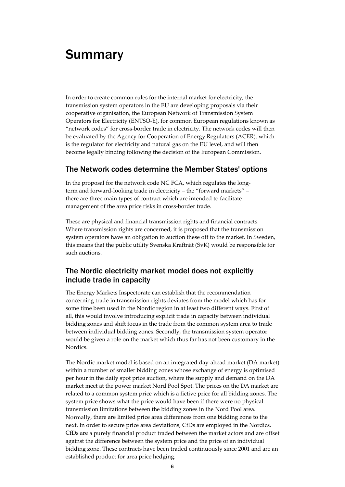# Summary

In order to create common rules for the internal market for electricity, the transmission system operators in the EU are developing proposals via their cooperative organisation, the European Network of Transmission System Operators for Electricity (ENTSO-E), for common European regulations known as "network codes" for cross-border trade in electricity. The network codes will then be evaluated by the Agency for Cooperation of Energy Regulators (ACER), which is the regulator for electricity and natural gas on the EU level, and will then become legally binding following the decision of the European Commission.

## The Network codes determine the Member States' options

In the proposal for the network code NC FCA, which regulates the longterm and forward-looking trade in electricity – the "forward markets" – there are three main types of contract which are intended to facilitate management of the area price risks in cross-border trade.

These are physical and financial transmission rights and financial contracts. Where transmission rights are concerned, it is proposed that the transmission system operators have an obligation to auction these off to the market. In Sweden, this means that the public utility Svenska Kraftnät (SvK) would be responsible for such auctions.

## The Nordic electricity market model does not explicitly include trade in capacity

The Energy Markets Inspectorate can establish that the recommendation concerning trade in transmission rights deviates from the model which has for some time been used in the Nordic region in at least two different ways. First of all, this would involve introducing explicit trade in capacity between individual bidding zones and shift focus in the trade from the common system area to trade between individual bidding zones. Secondly, the transmission system operator would be given a role on the market which thus far has not been customary in the Nordics.

The Nordic market model is based on an integrated day-ahead market (DA market) within a number of smaller bidding zones whose exchange of energy is optimised per hour in the daily spot price auction, where the supply and demand on the DA market meet at the power market Nord Pool Spot. The prices on the DA market are related to a common system price which is a fictive price for all bidding zones. The system price shows what the price would have been if there were no physical transmission limitations between the bidding zones in the Nord Pool area. Normally, there are limited price area differences from one bidding zone to the next. In order to secure price area deviations, CfDs are employed in the Nordics. CfDs are a purely financial product traded between the market actors and are offset against the difference between the system price and the price of an individual bidding zone. These contracts have been traded continuously since 2001 and are an established product for area price hedging.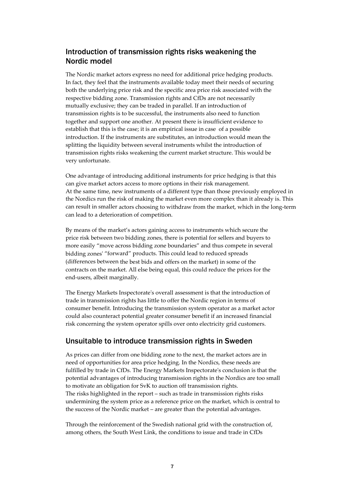# Introduction of transmission rights risks weakening the Nordic model

The Nordic market actors express no need for additional price hedging products. In fact, they feel that the instruments available today meet their needs of securing both the underlying price risk and the specific area price risk associated with the respective bidding zone. Transmission rights and CfDs are not necessarily mutually exclusive; they can be traded in parallel. If an introduction of transmission rights is to be successful, the instruments also need to function together and support one another. At present there is insufficient evidence to establish that this is the case; it is an empirical issue in case of a possible introduction. If the instruments are substitutes, an introduction would mean the splitting the liquidity between several instruments whilst the introduction of transmission rights risks weakening the current market structure. This would be very unfortunate.

One advantage of introducing additional instruments for price hedging is that this can give market actors access to more options in their risk management. At the same time, new instruments of a different type than those previously employed in the Nordics run the risk of making the market even more complex than it already is. This can result in smaller actors choosing to withdraw from the market, which in the long-term can lead to a deterioration of competition.

By means of the market's actors gaining access to instruments which secure the price risk between two bidding zones, there is potential for sellers and buyers to more easily "move across bidding zone boundaries" and thus compete in several bidding zones' "forward" products. This could lead to reduced spreads (differences between the best bids and offers on the market) in some of the contracts on the market. All else being equal, this could reduce the prices for the end-users, albeit marginally.

The Energy Markets Inspectorate's overall assessment is that the introduction of trade in transmission rights has little to offer the Nordic region in terms of consumer benefit. Introducing the transmission system operator as a market actor could also counteract potential greater consumer benefit if an increased financial risk concerning the system operator spills over onto electricity grid customers.

## Unsuitable to introduce transmission rights in Sweden

As prices can differ from one bidding zone to the next, the market actors are in need of opportunities for area price hedging. In the Nordics, these needs are fulfilled by trade in CfDs. The Energy Markets Inspectorate's conclusion is that the potential advantages of introducing transmission rights in the Nordics are too small to motivate an obligation for SvK to auction off transmission rights. The risks highlighted in the report – such as trade in transmission rights risks undermining the system price as a reference price on the market, which is central to the success of the Nordic market – are greater than the potential advantages.

Through the reinforcement of the Swedish national grid with the construction of, among others, the South West Link, the conditions to issue and trade in CfDs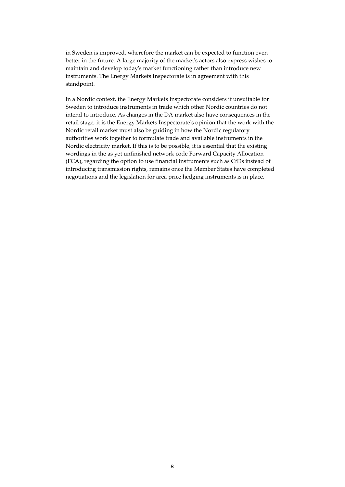in Sweden is improved, wherefore the market can be expected to function even better in the future. A large majority of the market's actors also express wishes to maintain and develop today's market functioning rather than introduce new instruments. The Energy Markets Inspectorate is in agreement with this standpoint.

In a Nordic context, the Energy Markets Inspectorate considers it unsuitable for Sweden to introduce instruments in trade which other Nordic countries do not intend to introduce. As changes in the DA market also have consequences in the retail stage, it is the Energy Markets Inspectorate's opinion that the work with the Nordic retail market must also be guiding in how the Nordic regulatory authorities work together to formulate trade and available instruments in the Nordic electricity market. If this is to be possible, it is essential that the existing wordings in the as yet unfinished network code Forward Capacity Allocation (FCA), regarding the option to use financial instruments such as CfDs instead of introducing transmission rights, remains once the Member States have completed negotiations and the legislation for area price hedging instruments is in place.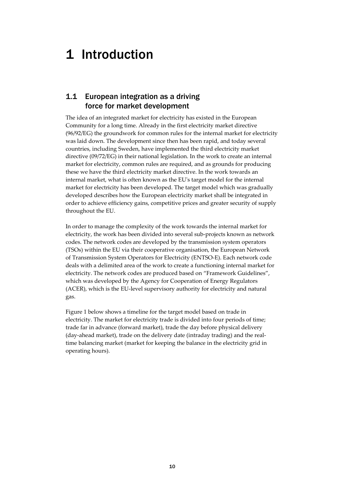# 1 Introduction

# 1.1 European integration as a driving force for market development

The idea of an integrated market for electricity has existed in the European Community for a long time. Already in the first electricity market directive (96/92/EG) the groundwork for common rules for the internal market for electricity was laid down. The development since then has been rapid, and today several countries, including Sweden, have implemented the third electricity market directive (09/72/EG) in their national legislation. In the work to create an internal market for electricity, common rules are required, and as grounds for producing these we have the third electricity market directive. In the work towards an internal market, what is often known as the EU's target model for the internal market for electricity has been developed. The target model which was gradually developed describes how the European electricity market shall be integrated in order to achieve efficiency gains, competitive prices and greater security of supply throughout the EU.

In order to manage the complexity of the work towards the internal market for electricity, the work has been divided into several sub-projects known as network codes. The network codes are developed by the transmission system operators (TSOs) within the EU via their cooperative organisation, the European Network of Transmission System Operators for Electricity (ENTSO-E). Each network code deals with a delimited area of the work to create a functioning internal market for electricity. The network codes are produced based on "Framework Guidelines", which was developed by the Agency for Cooperation of Energy Regulators (ACER), which is the EU-level supervisory authority for electricity and natural gas.

Figure 1 below shows a timeline for the target model based on trade in electricity. The market for electricity trade is divided into four periods of time; trade far in advance (forward market), trade the day before physical delivery (day-ahead market), trade on the delivery date (intraday trading) and the realtime balancing market (market for keeping the balance in the electricity grid in operating hours).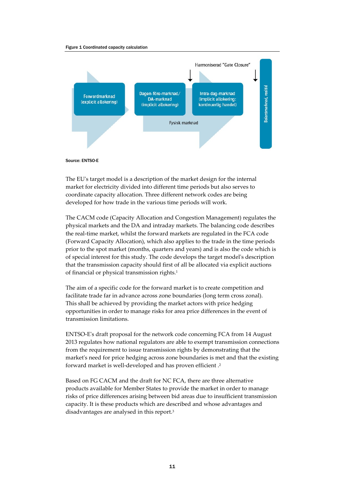#### Figure 1 Coordinated capacity calculation





The EU's target model is a description of the market design for the internal market for electricity divided into different time periods but also serves to coordinate capacity allocation. Three different network codes are being developed for how trade in the various time periods will work.

The CACM code (Capacity Allocation and Congestion Management) regulates the physical markets and the DA and intraday markets. The balancing code describes the real-time market, whilst the forward markets are regulated in the FCA code (Forward Capacity Allocation), which also applies to the trade in the time periods prior to the spot market (months, quarters and years) and is also the code which is of special interest for this study. The code develops the target model's description that the transmission capacity should first of all be allocated via explicit auctions of financial or physical transmission rights.<sup>1</sup>

The aim of a specific code for the forward market is to create competition and facilitate trade far in advance across zone boundaries (long term cross zonal). This shall be achieved by providing the market actors with price hedging opportunities in order to manage risks for area price differences in the event of transmission limitations.

ENTSO-E's draft proposal for the network code concerning FCA from 14 August 2013 regulates how national regulators are able to exempt transmission connections from the requirement to issue transmission rights by demonstrating that the market's need for price hedging across zone boundaries is met and that the existing forward market is well-developed and has proven efficient .2

Based on FG CACM and the draft for NC FCA, there are three alternative products available for Member States to provide the market in order to manage risks of price differences arising between bid areas due to insufficient transmission capacity. It is these products which are described and whose advantages and disadvantages are analysed in this report.3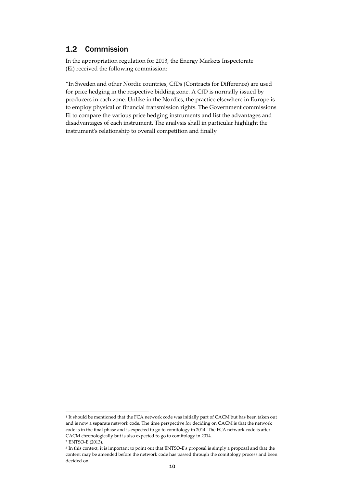## 1.2 Commission

In the appropriation regulation for 2013, the Energy Markets Inspectorate (Ei) received the following commission:

"In Sweden and other Nordic countries, CfDs (Contracts for Difference) are used for price hedging in the respective bidding zone. A CfD is normally issued by producers in each zone. Unlike in the Nordics, the practice elsewhere in Europe is to employ physical or financial transmission rights. The Government commissions Ei to compare the various price hedging instruments and list the advantages and disadvantages of each instrument. The analysis shall in particular highlight the instrument's relationship to overall competition and finally

<sup>&</sup>lt;sup>1</sup> It should be mentioned that the FCA network code was initially part of CACM but has been taken out and is now a separate network code. The time perspective for deciding on CACM is that the network code is in the final phase and is expected to go to comitology in 2014. The FCA network code is after CACM chronologically but is also expected to go to comitology in 2014.

<sup>2</sup> ENTSO-E (2013).

<sup>&</sup>lt;sup>3</sup> In this context, it is important to point out that ENTSO-E's proposal is simply a proposal and that the content may be amended before the network code has passed through the comitology process and been decided on.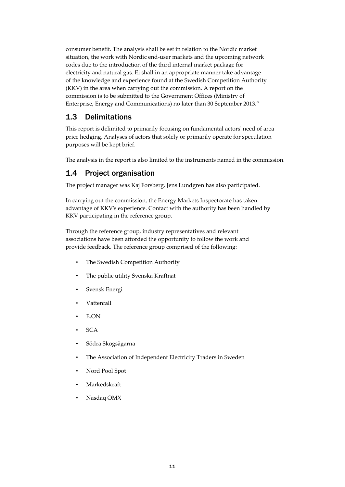consumer benefit. The analysis shall be set in relation to the Nordic market situation, the work with Nordic end-user markets and the upcoming network codes due to the introduction of the third internal market package for electricity and natural gas. Ei shall in an appropriate manner take advantage of the knowledge and experience found at the Swedish Competition Authority (KKV) in the area when carrying out the commission. A report on the commission is to be submitted to the Government Offices (Ministry of Enterprise, Energy and Communications) no later than 30 September 2013."

## 1.3 Delimitations

This report is delimited to primarily focusing on fundamental actors' need of area price hedging. Analyses of actors that solely or primarily operate for speculation purposes will be kept brief.

The analysis in the report is also limited to the instruments named in the commission.

## 1.4 Project organisation

The project manager was Kaj Forsberg. Jens Lundgren has also participated.

In carrying out the commission, the Energy Markets Inspectorate has taken advantage of KKV's experience. Contact with the authority has been handled by KKV participating in the reference group.

Through the reference group, industry representatives and relevant associations have been afforded the opportunity to follow the work and provide feedback. The reference group comprised of the following:

- The Swedish Competition Authority
- The public utility Svenska Kraftnät
- Svensk Energi
- Vattenfall
- E.ON
- SCA
- Södra Skogsägarna
- The Association of Independent Electricity Traders in Sweden
- Nord Pool Spot
- **Markedskraft**
- Nasdaq OMX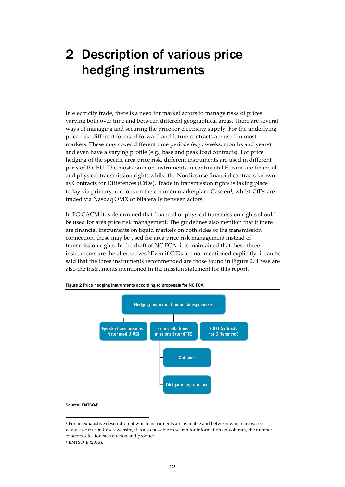# 2 Description of various price hedging instruments

In electricity trade, there is a need for market actors to manage risks of prices varying both over time and between different geographical areas. There are several ways of managing and securing the price for electricity supply. For the underlying price risk, different forms of forward and future contracts are used in most markets. These may cover different time periods (e.g., weeks, months and years) and even have a varying profile (e.g., base and peak load contracts). For price hedging of the specific area price risk, different instruments are used in different parts of the EU. The most common instruments in continental Europe are financial and physical transmission rights whilst the Nordics use financial contracts known as Contracts for Differences (CfDs). Trade in transmission rights is taking place today via primary auctions on the common marketplace Casc.eu<sup>4</sup>, whilst CfDs are traded via Nasdaq OMX or bilaterally between actors.

In FG CACM it is determined that financial or physical transmission rights should be used for area price risk management. The guidelines also mention that if there are financial instruments on liquid markets on both sides of the transmission connection, these may be used for area price risk management instead of transmission rights. In the draft of NC FCA, it is maintained that these three instruments are the alternatives.5 Even if CfDs are not mentioned explicitly, it can be said that the three instruments recommended are those found in Figure 2. These are also the instruments mentioned in the mission statement for this report.



Figure 2 Price hedging instruments according to proposals for NC FCA

#### Source: ENTSO-E

<sup>4</sup> For an exhaustive description of which instruments are available and between which areas, se[e](http://www.casc.eu/) [www.casc.eu. O](http://www.casc.eu/)n Casc's website, it is also possible to search for information on volumes, the number of actors, etc., for each auction and product.

<sup>5</sup> ENTSO-E (2013).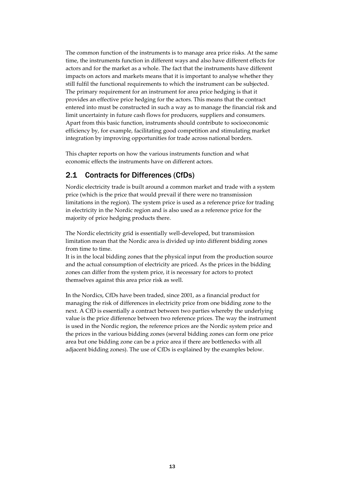The common function of the instruments is to manage area price risks. At the same time, the instruments function in different ways and also have different effects for actors and for the market as a whole. The fact that the instruments have different impacts on actors and markets means that it is important to analyse whether they still fulfil the functional requirements to which the instrument can be subjected. The primary requirement for an instrument for area price hedging is that it provides an effective price hedging for the actors. This means that the contract entered into must be constructed in such a way as to manage the financial risk and limit uncertainty in future cash flows for producers, suppliers and consumers. Apart from this basic function, instruments should contribute to socioeconomic efficiency by, for example, facilitating good competition and stimulating market integration by improving opportunities for trade across national borders.

This chapter reports on how the various instruments function and what economic effects the instruments have on different actors.

## 2.1 Contracts for Differences (CfDs)

Nordic electricity trade is built around a common market and trade with a system price (which is the price that would prevail if there were no transmission limitations in the region). The system price is used as a reference price for trading in electricity in the Nordic region and is also used as a reference price for the majority of price hedging products there.

The Nordic electricity grid is essentially well-developed, but transmission limitation mean that the Nordic area is divided up into different bidding zones from time to time.

It is in the local bidding zones that the physical input from the production source and the actual consumption of electricity are priced. As the prices in the bidding zones can differ from the system price, it is necessary for actors to protect themselves against this area price risk as well.

In the Nordics, CfDs have been traded, since 2001, as a financial product for managing the risk of differences in electricity price from one bidding zone to the next. A CfD is essentially a contract between two parties whereby the underlying value is the price difference between two reference prices. The way the instrument is used in the Nordic region, the reference prices are the Nordic system price and the prices in the various bidding zones (several bidding zones can form one price area but one bidding zone can be a price area if there are bottlenecks with all adjacent bidding zones). The use of CfDs is explained by the examples below.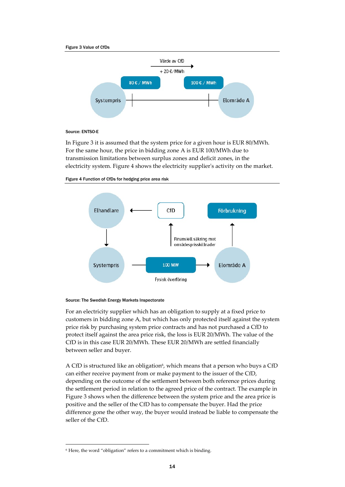



### Source: ENTSO-E

In Figure 3 it is assumed that the system price for a given hour is EUR 80/MWh. For the same hour, the price in bidding zone A is EUR 100/MWh due to transmission limitations between surplus zones and deficit zones, in the electricity system. Figure 4 shows the electricity supplier's activity on the market.





### Source: The Swedish Energy Markets Inspectorate

For an electricity supplier which has an obligation to supply at a fixed price to customers in bidding zone A, but which has only protected itself against the system price risk by purchasing system price contracts and has not purchased a CfD to protect itself against the area price risk, the loss is EUR 20/MWh. The value of the CfD is in this case EUR 20/MWh. These EUR 20/MWh are settled financially between seller and buyer.

A CfD is structured like an obligation<sup>6</sup>, which means that a person who buys a CfD can either receive payment from or make payment to the issuer of the CfD, depending on the outcome of the settlement between both reference prices during the settlement period in relation to the agreed price of the contract. The example in Figure 3 shows when the difference between the system price and the area price is positive and the seller of the CfD has to compensate the buyer. Had the price difference gone the other way, the buyer would instead be liable to compensate the seller of the CfD.

 $^6$  Here, the word "obligation" refers to a commitment which is binding.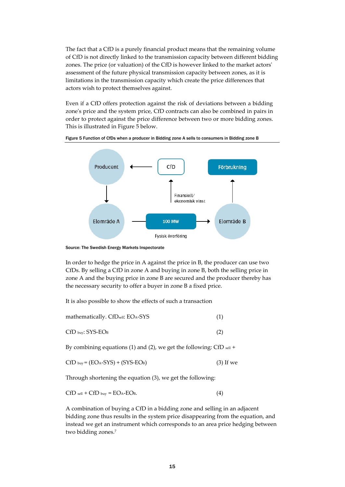The fact that a CfD is a purely financial product means that the remaining volume of CfD is not directly linked to the transmission capacity between different bidding zones. The price (or valuation) of the CfD is however linked to the market actors' assessment of the future physical transmission capacity between zones, as it is limitations in the transmission capacity which create the price differences that actors wish to protect themselves against.

Even if a CfD offers protection against the risk of deviations between a bidding zone's price and the system price, CfD contracts can also be combined in pairs in order to protect against the price difference between two or more bidding zones. This is illustrated in Figure 5 below.



Figure 5 Function of CfDs when a producer in Bidding zone A sells to consumers in Bidding zone B

Source: The Swedish Energy Markets Inspectorate

In order to hedge the price in A against the price in B, the producer can use two CfDs. By selling a CfD in zone A and buying in zone B, both the selling price in zone A and the buying price in zone B are secured and the producer thereby has the necessary security to offer a buyer in zone B a fixed price.

It is also possible to show the effects of such a transaction

| mathematically. CfDsell: EOA-SYS |  |
|----------------------------------|--|
| $CfD_{\text{buy}}$ : SYS-EOB     |  |

By combining equations (1) and (2), we get the following: CfD  $_{\text{sell}}$  +

$$
CFD_{buy} = (EO_A - SYS) + (SYS-EO_B)
$$
 (3) If we

Through shortening the equation (3), we get the following:

$$
CFDsell + CFDbuy = EOA-EOB.
$$
 (4)

A combination of buying a CfD in a bidding zone and selling in an adjacent bidding zone thus results in the system price disappearing from the equation, and instead we get an instrument which corresponds to an area price hedging between two bidding zones.7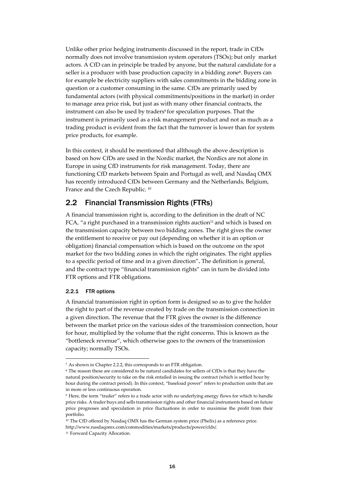Unlike other price hedging instruments discussed in the report, trade in CfDs normally does not involve transmission system operators (TSOs); but only market actors. A CfD can in principle be traded by anyone, but the natural candidate for a seller is a producer with base production capacity in a bidding zone<sup>8</sup>. Buyers can for example be electricity suppliers with sales commitments in the bidding zone in question or a customer consuming in the same. CfDs are primarily used by fundamental actors (with physical commitments/positions in the market) in order to manage area price risk, but just as with many other financial contracts, the instrument can also be used by traders<sup>9</sup> for speculation purposes. That the instrument is primarily used as a risk management product and not as much as a trading product is evident from the fact that the turnover is lower than for system price products, for example.

In this context, it should be mentioned that allthough the above description is based on how CfDs are used in the Nordic market, the Nordics are not alone in Europe in using CfD instruments for risk management. Today, there are functioning CfD markets between Spain and Portugal as well, and Nasdaq OMX has recently introduced CfDs between Germany and the Netherlands, Belgium, France and the Czech Republic. 10

## 2.2 Financial Transmission Rights (FTRs)

A financial transmission right is, according to the definition in the draft of NC FCA, "a right purchased in a transmission rights auction<sup>11</sup> and which is based on the transmission capacity between two bidding zones. The right gives the owner the entitlement to receive or pay out (depending on whether it is an option or obligation) financial compensation which is based on the outcome on the spot market for the two bidding zones in which the right originates. The right applies to a specific period of time and in a given direction"**.** The definition is general, and the contract type "financial transmission rights" can in turn be divided into FTR options and FTR obligations.

### 2.2.1 FTR options

A financial transmission right in option form is designed so as to give the holder the right to part of the revenue created by trade on the transmission connection in a given direction. The revenue that the FTR gives the owner is the difference between the market price on the various sides of the transmission connection, hour for hour, multiplied by the volume that the right concerns. This is known as the "bottleneck revenue", which otherwise goes to the owners of the transmission capacity; normally TSOs.

<sup>7</sup> As shown in Chapter 2.2.2, this corresponds to an FTR obligation.

<sup>8</sup> The reason these are considered to be natural candidates for sellers of CfDs is that they have the natural position/security to take on the risk entailed in issuing the contract (which is settled hour by hour during the contract period). In this context, "baseload power" refers to production units that are in more or less continuous operation.

<sup>9</sup> Here, the term "trader" refers to a trade actor with no underlying energy flows for which to handle price risks. A trader buys and sells transmission rights and other financial instruments based on future price prognoses and speculation in price fluctuations in order to maximise the profit from their portfolio.

<sup>&</sup>lt;sup>10</sup> The CfD offered by Nasdaq OMX has the German system price (Phelix) as a reference pric[e.](http://www.nasdaqomx.com/commodities/markets/products/power/cfds/) [http://www.nasdaqomx.com/commodities/markets/products/power/cfds/.](http://www.nasdaqomx.com/commodities/markets/products/power/cfds/)

<sup>&</sup>lt;sup>11</sup> Forward Capacity Allocation.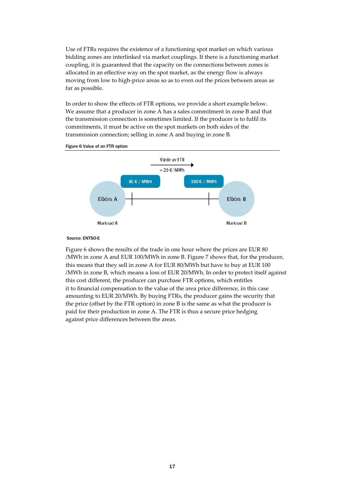Use of FTRs requires the existence of a functioning spot market on which various bidding zones are interlinked via market couplings. If there is a functioning market coupling, it is guaranteed that the capacity on the connections between zones is allocated in an effective way on the spot market, as the energy flow is always moving from low to high-price areas so as to even out the prices between areas as far as possible.

In order to show the effects of FTR options, we provide a short example below. We assume that a producer in zone A has a sales commitment in zone B and that the transmission connection is sometimes limited. If the producer is to fulfil its commitments, it must be active on the spot markets on both sides of the transmission connection; selling in zone A and buying in zone B.



Figure 6 Value of an FTR option

#### Source: ENTSO-E

Figure 6 shows the results of the trade in one hour where the prices are EUR 80 /MWh in zone A and EUR 100/MWh in zone B. Figure 7 shows that, for the producer, this means that they sell in zone A for EUR 80/MWh but have to buy at EUR 100 /MWh in zone B, which means a loss of EUR 20/MWh. In order to protect itself against this cost different, the producer can purchase FTR options, which entitles it to financial compensation to the value of the area price difference, in this case amounting to EUR 20/MWh. By buying FTRs, the producer gains the security that the price (offset by the FTR option) in zone B is the same as what the producer is paid for their production in zone A. The FTR is thus a secure price hedging against price differences between the areas.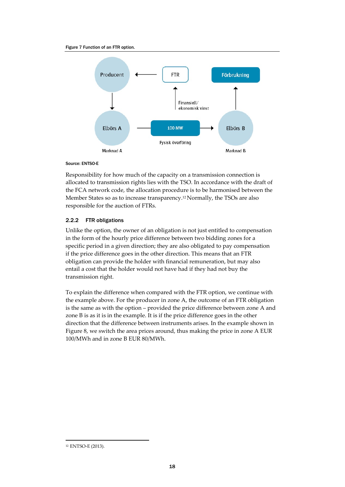#### Figure 7 Function of an FTR option.



### Source: ENTSO-E

Responsibility for how much of the capacity on a transmission connection is allocated to transmission rights lies with the TSO. In accordance with the draft of the FCA network code, the allocation procedure is to be harmonised between the Member States so as to increase transparency.<sup>12</sup> Normally, the TSOs are also responsible for the auction of FTRs.

### 2.2.2 FTR obligations

Unlike the option, the owner of an obligation is not just entitled to compensation in the form of the hourly price difference between two bidding zones for a specific period in a given direction; they are also obligated to pay compensation if the price difference goes in the other direction. This means that an FTR obligation can provide the holder with financial remuneration, but may also entail a cost that the holder would not have had if they had not buy the transmission right.

To explain the difference when compared with the FTR option, we continue with the example above. For the producer in zone A, the outcome of an FTR obligation is the same as with the option – provided the price difference between zone A and zone B is as it is in the example. It is if the price difference goes in the other direction that the difference between instruments arises. In the example shown in Figure 8, we switch the area prices around, thus making the price in zone A EUR 100/MWh and in zone B EUR 80/MWh.

<sup>12</sup> ENTSO-E (2013).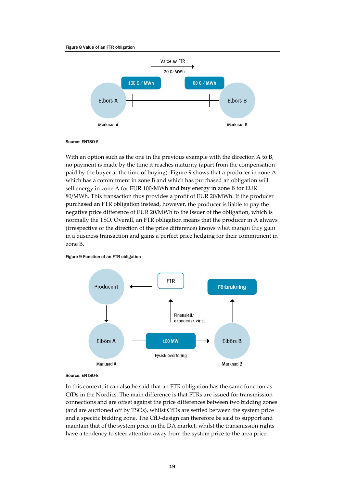#### Figure 8 Value of an FTR obligation



### Source: ENTSO-E

With an option such as the one in the previous example with the direction A to B, no payment is made by the time it reaches maturity (apart from the compensation paid by the buyer at the time of buying). Figure 9 shows that a producer in zone A which has a commitment in zone B and which has purchased an obligation will sell energy in zone A for EUR 100/MWh and buy energy in zone B for EUR 80/MWh. This transaction thus provides a profit of EUR 20/MWh. If the producer purchased an FTR obligation instead, however, the producer is liable to pay the negative price difference of EUR 20/MWh to the issuer of the obligation, which is normally the TSO. Overall, an FTR obligation means that the producer in A always (irrespective of the direction of the price difference) knows what margin they gain in a business transaction and gains a perfect price hedging for their commitment in zone B.





#### Source: ENTSO-E

In this context, it can also be said that an FTR obligation has the same function as CfDs in the Nordics. The main difference is that FTRs are issued for transmission connections and are offset against the price differences between two bidding zones (and are auctioned off by TSOs), whilst CfDs are settled between the system price and a specific bidding zone. The CfD-design can therefore be said to support and maintain that of the system price in the DA market, whilst the transmission rights have a tendency to steer attention away from the system price to the area price.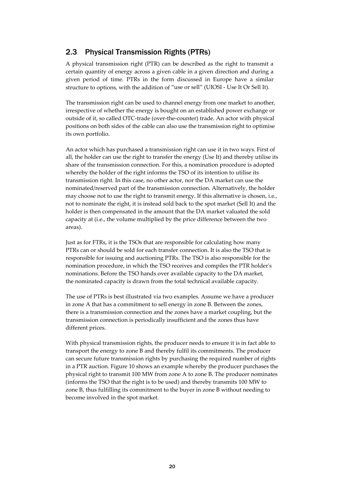# 2.3 Physical Transmission Rights (PTRs)

A physical transmission right (PTR) can be described as the right to transmit a certain quantity of energy across a given cable in a given direction and during a given period of time. PTRs in the form discussed in Europe have a similar structure to options, with the addition of "use or sell" (UIOSI - Use It Or Sell It).

The transmission right can be used to channel energy from one market to another, irrespective of whether the energy is bought on an established power exchange or outside of it, so called OTC-trade (over-the-counter) trade. An actor with physical positions on both sides of the cable can also use the transmission right to optimise its own portfolio.

An actor which has purchased a transmission right can use it in two ways. First of all, the holder can use the right to transfer the energy (Use It) and thereby utilise its share of the transmission connection. For this, a nomination procedure is adopted whereby the holder of the right informs the TSO of its intention to utilise its transmission right. In this case, no other actor, nor the DA market can use the nominated/reserved part of the transmission connection. Alternatively, the holder may choose not to use the right to transmit energy. If this alternative is chosen, i.e., not to nominate the right, it is instead sold back to the spot market (Sell It) and the holder is then compensated in the amount that the DA market valuated the sold capacity at (i.e., the volume multiplied by the price difference between the two areas).

Just as for FTRs, it is the TSOs that are responsible for calculating how many PTRs can or should be sold for each transfer connection. It is also the TSO that is responsible for issuing and auctioning PTRs. The TSO is also responsible for the nomination procedure, in which the TSO receives and compiles the PTR holder's nominations. Before the TSO hands over available capacity to the DA market, the nominated capacity is drawn from the total technical available capacity.

The use of PTRs is best illustrated via two examples. Assume we have a producer in zone A that has a commitment to sell energy in zone B. Between the zones, there is a transmission connection and the zones have a market coupling, but the transmission connection is periodically insufficient and the zones thus have different prices.

With physical transmission rights, the producer needs to ensure it is in fact able to transport the energy to zone B and thereby fulfil its commitments. The producer can secure future transmission rights by purchasing the required number of rights in a PTR auction. Figure 10 shows an example whereby the producer purchases the physical right to transmit 100 MW from zone A to zone B. The producer nominates (informs the TSO that the right is to be used) and thereby transmits 100 MW to zone B, thus fulfilling its commitment to the buyer in zone B without needing to become involved in the spot market.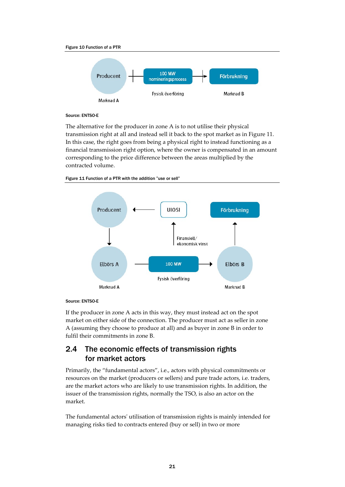

### Source: ENTSO-E

The alternative for the producer in zone A is to not utilise their physical transmission right at all and instead sell it back to the spot market as in Figure 11. In this case, the right goes from being a physical right to instead functioning as a financial transmission right option, where the owner is compensated in an amount corresponding to the price difference between the areas multiplied by the contracted volume.



Figure 11 Function of a PTR with the addition "use or sell"

### Source: ENTSO-E

If the producer in zone A acts in this way, they must instead act on the spot market on either side of the connection. The producer must act as seller in zone A (assuming they choose to produce at all) and as buyer in zone B in order to fulfil their commitments in zone B.

# 2.4 The economic effects of transmission rights for market actors

Primarily, the "fundamental actors", i.e., actors with physical commitments or resources on the market (producers or sellers) and pure trade actors, i.e. traders, are the market actors who are likely to use transmission rights. In addition, the issuer of the transmission rights, normally the TSO, is also an actor on the market.

The fundamental actors' utilisation of transmission rights is mainly intended for managing risks tied to contracts entered (buy or sell) in two or more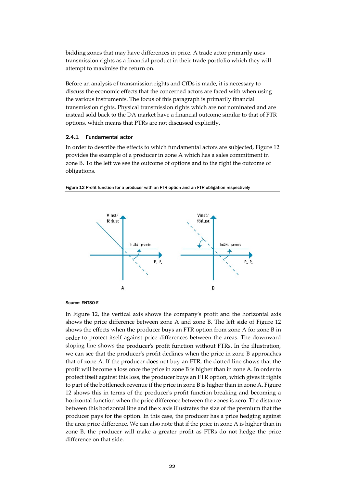bidding zones that may have differences in price. A trade actor primarily uses transmission rights as a financial product in their trade portfolio which they will attempt to maximise the return on.

Before an analysis of transmission rights and CfDs is made, it is necessary to discuss the economic effects that the concerned actors are faced with when using the various instruments. The focus of this paragraph is primarily financial transmission rights. Physical transmission rights which are not nominated and are instead sold back to the DA market have a financial outcome similar to that of FTR options, which means that PTRs are not discussed explicitly.

### 2.4.1 Fundamental actor

In order to describe the effects to which fundamental actors are subjected, Figure 12 provides the example of a producer in zone A which has a sales commitment in zone B. To the left we see the outcome of options and to the right the outcome of obligations.



Figure 12 Profit function for a producer with an FTR option and an FTR obligation respectively

#### Source: ENTSO-E

In Figure 12, the vertical axis shows the company's profit and the horizontal axis shows the price difference between zone A and zone B. The left side of Figure 12 shows the effects when the producer buys an FTR option from zone A for zone B in order to protect itself against price differences between the areas. The downward sloping line shows the producer's profit function without FTRs. In the illustration, we can see that the producer's profit declines when the price in zone B approaches that of zone A. If the producer does not buy an FTR, the dotted line shows that the profit will become a loss once the price in zone B is higher than in zone A. In order to protect itself against this loss, the producer buys an FTR option, which gives it rights to part of the bottleneck revenue if the price in zone B is higher than in zone A. Figure 12 shows this in terms of the producer's profit function breaking and becoming a horizontal function when the price difference between the zones is zero. The distance between this horizontal line and the x axis illustrates the size of the premium that the producer pays for the option. In this case, the producer has a price hedging against the area price difference. We can also note that if the price in zone A is higher than in zone B, the producer will make a greater profit as FTRs do not hedge the price difference on that side.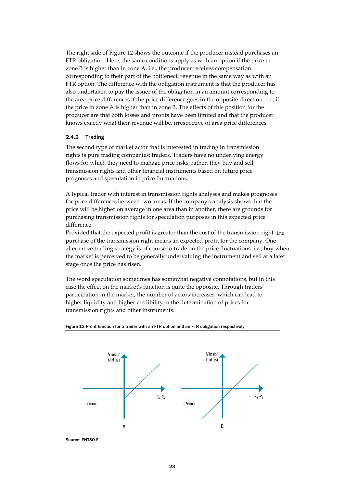The right side of Figure 12 shows the outcome if the producer instead purchases an FTR obligation. Here, the same conditions apply as with an option if the price in zone B is higher than in zone A, i.e., the producer receives compensation corresponding to their part of the bottleneck revenue in the same way as with an FTR option. The difference with the obligation instrument is that the producer has also undertaken to pay the issuer of the obligation in an amount corresponding to the area price differences if the price difference goes in the opposite direction; i.e., if the price in zone A is higher than in zone B. The effects of this position for the producer are that both losses and profits have been limited and that the producer knows exactly what their revenue will be, irrespective of area price differences.

### 2.4.2 Trading

The second type of market actor that is interested in trading in transmission rights is pure trading companies; traders. Traders have no underlying energy flows for which they need to manage price risks; rather, they buy and sell transmission rights and other financial instruments based on future price prognoses and speculation in price fluctuations.

A typical trader with interest in transmission rights analyses and makes prognoses for price differences between two areas. If the company's analysis shows that the price will be higher on average in one area than in another, there are grounds for purchasing transmission rights for speculation purposes in this expected price difference.

Provided that the expected profit is greater than the cost of the transmission right, the purchase of the transmission right means an expected profit for the company. One alternative trading strategy is of course to trade on the price fluctuations, i.e., buy when the market is perceived to be generally undervaluing the instrument and sell at a later stage once the price has risen.

The word speculation sometimes has somewhat negative connotations, but in this case the effect on the market's function is quite the opposite. Through traders' participation in the market, the number of actors increases, which can lead to higher liquidity and higher credibility in the determination of prices for transmission rights and other instruments.



Figure 13 Profit function for a trader with an FTR option and an FTR obligation respectively

Source: ENTSO-E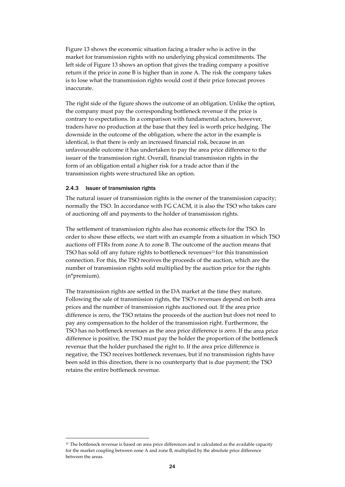Figure 13 shows the economic situation facing a trader who is active in the market for transmission rights with no underlying physical commitments. The left side of Figure 13 shows an option that gives the trading company a positive return if the price in zone B is higher than in zone A. The risk the company takes is to lose what the transmission rights would cost if their price forecast proves inaccurate.

The right side of the figure shows the outcome of an obligation. Unlike the option, the company must pay the corresponding bottleneck revenue if the price is contrary to expectations. In a comparison with fundamental actors, however, traders have no production at the base that they feel is worth price hedging. The downside in the outcome of the obligation, where the actor in the example is identical, is that there is only an increased financial risk, because in an unfavourable outcome it has undertaken to pay the area price difference to the issuer of the transmission right. Overall, financial transmission rights in the form of an obligation entail a higher risk for a trade actor than if the transmission rights were structured like an option.

### 2.4.3 Issuer of transmission rights

The natural issuer of transmission rights is the owner of the transmission capacity; normally the TSO. In accordance with FG CACM, it is also the TSO who takes care of auctioning off and payments to the holder of transmission rights.

The settlement of transmission rights also has economic effects for the TSO. In order to show these effects, we start with an example from a situation in which TSO auctions off FTRs from zone A to zone B. The outcome of the auction means that TSO has sold off any future rights to bottleneck revenues13 for this transmission connection. For this, the TSO receives the proceeds of the auction, which are the number of transmission rights sold multiplied by the auction price for the rights (n\*premium).

The transmission rights are settled in the DA market at the time they mature. Following the sale of transmission rights, the TSO's revenues depend on both area prices and the number of transmission rights auctioned out. If the area price difference is zero, the TSO retains the proceeds of the auction but does not need to pay any compensation to the holder of the transmission right. Furthermore, the TSO has no bottleneck revenues as the area price difference is zero. If the area price difference is positive, the TSO must pay the holder the proportion of the bottleneck revenue that the holder purchased the right to. If the area price difference is negative, the TSO receives bottleneck revenues, but if no transmission rights have been sold in this direction, there is no counterparty that is due payment; the TSO retains the entire bottleneck revenue.

<sup>&</sup>lt;sup>13</sup> The bottleneck revenue is based on area price differences and is calculated as the available capacity for the market coupling between zone A and zone B, multiplied by the absolute price difference between the areas.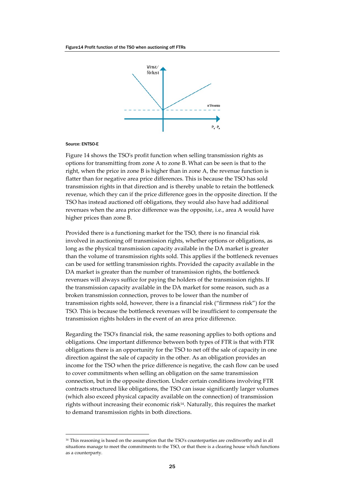

#### Source: ENTSO-E

Figure 14 shows the TSO's profit function when selling transmission rights as options for transmitting from zone A to zone B. What can be seen is that to the right, when the price in zone B is higher than in zone A, the revenue function is flatter than for negative area price differences. This is because the TSO has sold transmission rights in that direction and is thereby unable to retain the bottleneck revenue, which they can if the price difference goes in the opposite direction. If the TSO has instead auctioned off obligations, they would also have had additional revenues when the area price difference was the opposite, i.e., area A would have higher prices than zone B.

Provided there is a functioning market for the TSO, there is no financial risk involved in auctioning off transmission rights, whether options or obligations, as long as the physical transmission capacity available in the DA market is greater than the volume of transmission rights sold. This applies if the bottleneck revenues can be used for settling transmission rights. Provided the capacity available in the DA market is greater than the number of transmission rights, the bottleneck revenues will always suffice for paying the holders of the transmission rights. If the transmission capacity available in the DA market for some reason, such as a broken transmission connection, proves to be lower than the number of transmission rights sold, however, there is a financial risk ("firmness risk") for the TSO. This is because the bottleneck revenues will be insufficient to compensate the transmission rights holders in the event of an area price difference.

Regarding the TSO's financial risk, the same reasoning applies to both options and obligations. One important difference between both types of FTR is that with FTR obligations there is an opportunity for the TSO to net off the sale of capacity in one direction against the sale of capacity in the other. As an obligation provides an income for the TSO when the price difference is negative, the cash flow can be used to cover commitments when selling an obligation on the same transmission connection, but in the opposite direction. Under certain conditions involving FTR contracts structured like obligations, the TSO can issue significantly larger volumes (which also exceed physical capacity available on the connection) of transmission rights without increasing their economic risk14. Naturally, this requires the market to demand transmission rights in both directions.

<sup>14</sup> This reasoning is based on the assumption that the TSO's counterparties are creditworthy and in all situations manage to meet the commitments to the TSO, or that there is a clearing house which functions as a counterparty.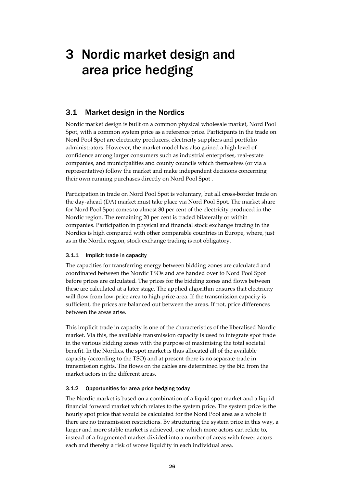# 3 Nordic market design and area price hedging

## 3.1 Market design in the Nordics

Nordic market design is built on a common physical wholesale market, Nord Pool Spot, with a common system price as a reference price. Participants in the trade on Nord Pool Spot are electricity producers, electricity suppliers and portfolio administrators. However, the market model has also gained a high level of confidence among larger consumers such as industrial enterprises, real-estate companies, and municipalities and county councils which themselves (or via a representative) follow the market and make independent decisions concerning their own running purchases directly on Nord Pool Spot .

Participation in trade on Nord Pool Spot is voluntary, but all cross-border trade on the day-ahead (DA) market must take place via Nord Pool Spot. The market share for Nord Pool Spot comes to almost 80 per cent of the electricity produced in the Nordic region. The remaining 20 per cent is traded bilaterally or within companies. Participation in physical and financial stock exchange trading in the Nordics is high compared with other comparable countries in Europe, where, just as in the Nordic region, stock exchange trading is not obligatory.

## 3.1.1 Implicit trade in capacity

The capacities for transferring energy between bidding zones are calculated and coordinated between the Nordic TSOs and are handed over to Nord Pool Spot before prices are calculated. The prices for the bidding zones and flows between these are calculated at a later stage. The applied algorithm ensures that electricity will flow from low-price area to high-price area. If the transmission capacity is sufficient, the prices are balanced out between the areas. If not, price differences between the areas arise.

This implicit trade in capacity is one of the characteristics of the liberalised Nordic market. Via this, the available transmission capacity is used to integrate spot trade in the various bidding zones with the purpose of maximising the total societal benefit. In the Nordics, the spot market is thus allocated all of the available capacity (according to the TSO) and at present there is no separate trade in transmission rights. The flows on the cables are determined by the bid from the market actors in the different areas.

## 3.1.2 Opportunities for area price hedging today

The Nordic market is based on a combination of a liquid spot market and a liquid financial forward market which relates to the system price. The system price is the hourly spot price that would be calculated for the Nord Pool area as a whole if there are no transmission restrictions. By structuring the system price in this way, a larger and more stable market is achieved, one which more actors can relate to, instead of a fragmented market divided into a number of areas with fewer actors each and thereby a risk of worse liquidity in each individual area.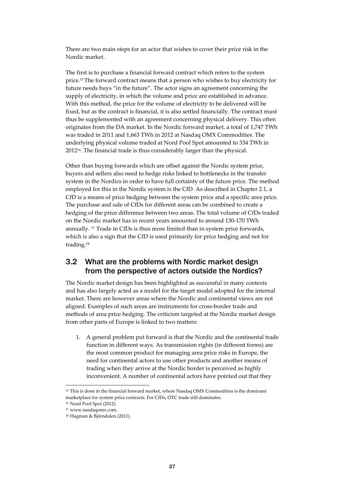There are two main steps for an actor that wishes to cover their price risk in the Nordic market.

The first is to purchase a financial forward contract which refers to the system price.15 The forward contract means that a person who wishes to buy electricity for future needs buys "in the future". The actor signs an agreement concerning the supply of electricity, in which the volume and price are established in advance. With this method, the price for the volume of electricity to be delivered will be fixed, but as the contract is financial, it is also settled financially. The contract must thus be supplemented with an agreement concerning physical delivery. This often originates from the DA market. In the Nordic forward market, a total of 1,747 TWh was traded in 2011 and 1,663 TWh in 2012 at Nasdaq OMX Commodities. The underlying physical volume traded at Nord Pool Spot amounted to 334 TWh in 201216. The financial trade is thus considerably larger than the physical.

Other than buying forwards which are offset against the Nordic system price, buyers and sellers also need to hedge risks linked to bottlenecks in the transfer system in the Nordics in order to have full certainty of the future price. The method employed for this in the Nordic system is the CfD. As described in Chapter 2.1, a CfD is a means of price hedging between the system price and a specific area price. The purchase and sale of CfDs for different areas can be combined to create a hedging of the price difference between two areas. The total volume of CfDs traded on the Nordic market has in recent years amounted to around 130-170 TWh annually. 17 Trade in CfDs is thus more limited than in system price forwards, which is also a sign that the CfD is used primarily for price hedging and not for trading.18

## 3.2 What are the problems with Nordic market design from the perspective of actors outside the Nordics?

The Nordic market design has been highlighted as successful in many contexts and has also largely acted as a model for the target model adopted for the internal market. There are however areas where the Nordic and continental views are not aligned. Examples of such areas are instruments for cross-border trade and methods of area price hedging. The criticism targeted at the Nordic market design from other parts of Europe is linked to two matters:

1. A general problem put forward is that the Nordic and the continental trade function in different ways. As transmission rights (in different forms) are the most common product for managing area price risks in Europe, the need for continental actors to use other products and another means of trading when they arrive at the Nordic border is perceived as highly inconvenient. A number of continental actors have pointed out that they

<sup>&</sup>lt;sup>15</sup> This is done in the financial forward market, where Nasdaq OMX Commodities is the dominant marketplace for system price contracts. For CfDs, OTC trade still dominates.

<sup>16</sup> Nord Pool Spot (2012).

<sup>17</sup> [www.nasdaqomx.com.](http://www.nasdaqomx.com/)

<sup>18</sup> Hagman & Björndalen (2011).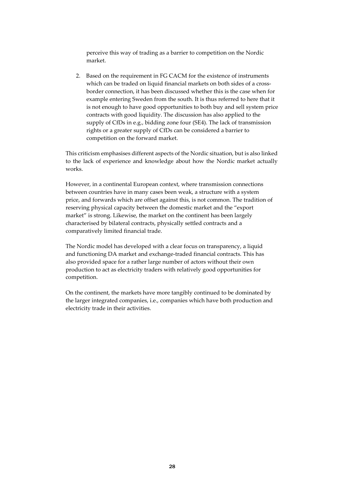perceive this way of trading as a barrier to competition on the Nordic market.

2. Based on the requirement in FG CACM for the existence of instruments which can be traded on liquid financial markets on both sides of a crossborder connection, it has been discussed whether this is the case when for example entering Sweden from the south. It is thus referred to here that it is not enough to have good opportunities to both buy and sell system price contracts with good liquidity. The discussion has also applied to the supply of CfDs in e.g., bidding zone four (SE4). The lack of transmission rights or a greater supply of CfDs can be considered a barrier to competition on the forward market.

This criticism emphasises different aspects of the Nordic situation, but is also linked to the lack of experience and knowledge about how the Nordic market actually works.

However, in a continental European context, where transmission connections between countries have in many cases been weak, a structure with a system price, and forwards which are offset against this, is not common. The tradition of reserving physical capacity between the domestic market and the "export market" is strong. Likewise, the market on the continent has been largely characterised by bilateral contracts, physically settled contracts and a comparatively limited financial trade.

The Nordic model has developed with a clear focus on transparency, a liquid and functioning DA market and exchange-traded financial contracts. This has also provided space for a rather large number of actors without their own production to act as electricity traders with relatively good opportunities for competition.

On the continent, the markets have more tangibly continued to be dominated by the larger integrated companies, i.e., companies which have both production and electricity trade in their activities.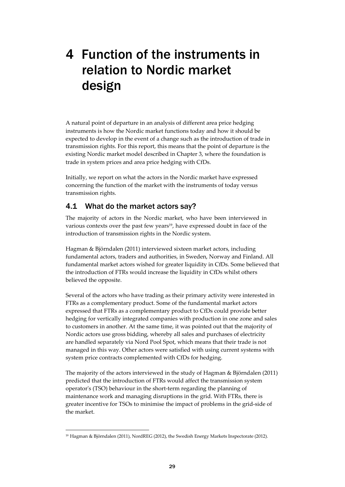# 4 Function of the instruments in relation to Nordic market design

A natural point of departure in an analysis of different area price hedging instruments is how the Nordic market functions today and how it should be expected to develop in the event of a change such as the introduction of trade in transmission rights. For this report, this means that the point of departure is the existing Nordic market model described in Chapter 3, where the foundation is trade in system prices and area price hedging with CfDs.

Initially, we report on what the actors in the Nordic market have expressed concerning the function of the market with the instruments of today versus transmission rights.

## 4.1 What do the market actors say?

The majority of actors in the Nordic market, who have been interviewed in various contexts over the past few years<sup>19</sup>, have expressed doubt in face of the introduction of transmission rights in the Nordic system.

Hagman & Björndalen (2011) interviewed sixteen market actors, including fundamental actors, traders and authorities, in Sweden, Norway and Finland. All fundamental market actors wished for greater liquidity in CfDs. Some believed that the introduction of FTRs would increase the liquidity in CfDs whilst others believed the opposite.

Several of the actors who have trading as their primary activity were interested in FTRs as a complementary product. Some of the fundamental market actors expressed that FTRs as a complementary product to CfDs could provide better hedging for vertically integrated companies with production in one zone and sales to customers in another. At the same time, it was pointed out that the majority of Nordic actors use gross bidding, whereby all sales and purchases of electricity are handled separately via Nord Pool Spot, which means that their trade is not managed in this way. Other actors were satisfied with using current systems with system price contracts complemented with CfDs for hedging.

The majority of the actors interviewed in the study of Hagman & Björndalen (2011) predicted that the introduction of FTRs would affect the transmission system operator's (TSO) behaviour in the short-term regarding the planning of maintenance work and managing disruptions in the grid. With FTRs, there is greater incentive for TSOs to minimise the impact of problems in the grid-side of the market.

<sup>19</sup> Hagman & Björndalen (2011), NordREG (2012), the Swedish Energy Markets Inspectorate (2012).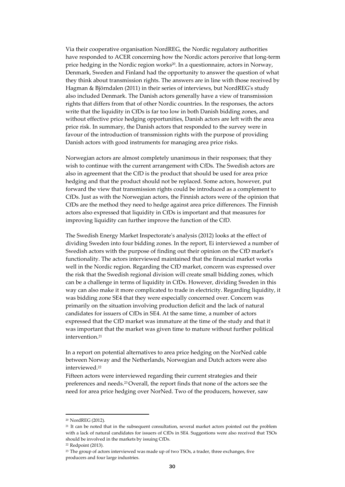Via their cooperative organisation NordREG, the Nordic regulatory authorities have responded to ACER concerning how the Nordic actors perceive that long-term price hedging in the Nordic region works<sup>20</sup>. In a questionnaire, actors in Norway, Denmark, Sweden and Finland had the opportunity to answer the question of what they think about transmission rights. The answers are in line with those received by Hagman & Björndalen (2011) in their series of interviews, but NordREG's study also included Denmark. The Danish actors generally have a view of transmission rights that differs from that of other Nordic countries. In the responses, the actors write that the liquidity in CfDs is far too low in both Danish bidding zones, and without effective price hedging opportunities, Danish actors are left with the area price risk. In summary, the Danish actors that responded to the survey were in favour of the introduction of transmission rights with the purpose of providing Danish actors with good instruments for managing area price risks.

Norwegian actors are almost completely unanimous in their responses; that they wish to continue with the current arrangement with CfDs. The Swedish actors are also in agreement that the CfD is the product that should be used for area price hedging and that the product should not be replaced. Some actors, however, put forward the view that transmission rights could be introduced as a complement to CfDs. Just as with the Norwegian actors, the Finnish actors were of the opinion that CfDs are the method they need to hedge against area price differences. The Finnish actors also expressed that liquidity in CfDs is important and that measures for improving liquidity can further improve the function of the CfD.

The Swedish Energy Market Inspectorate's analysis (2012) looks at the effect of dividing Sweden into four bidding zones. In the report, Ei interviewed a number of Swedish actors with the purpose of finding out their opinion on the CfD market's functionality. The actors interviewed maintained that the financial market works well in the Nordic region. Regarding the CfD market, concern was expressed over the risk that the Swedish regional division will create small bidding zones, which can be a challenge in terms of liquidity in CfDs. However, dividing Sweden in this way can also make it more complicated to trade in electricity. Regarding liquidity, it was bidding zone SE4 that they were especially concerned over. Concern was primarily on the situation involving production deficit and the lack of natural candidates for issuers of CfDs in SE4. At the same time, a number of actors expressed that the CfD market was immature at the time of the study and that it was important that the market was given time to mature without further political intervention.<sup>21</sup>

In a report on potential alternatives to area price hedging on the NorNed cable between Norway and the Netherlands, Norwegian and Dutch actors were also interviewed.22

Fifteen actors were interviewed regarding their current strategies and their preferences and needs.23 Overall, the report finds that none of the actors see the need for area price hedging over NorNed. Two of the producers, however, saw

<sup>20</sup> NordREG (2012).

<sup>&</sup>lt;sup>21</sup> It can be noted that in the subsequent consultation, several market actors pointed out the problem with a lack of natural candidates for issuers of CfDs in SE4. Suggestions were also received that TSOs should be involved in the markets by issuing CfDs.

<sup>22</sup> Redpoint (2013).

<sup>&</sup>lt;sup>23</sup> The group of actors interviewed was made up of two TSOs, a trader, three exchanges, five producers and four large industries.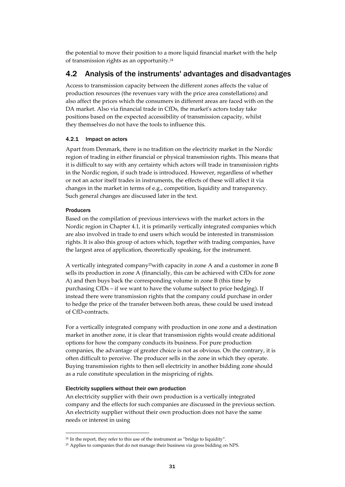the potential to move their position to a more liquid financial market with the help of transmission rights as an opportunity.24

## 4.2 Analysis of the instruments' advantages and disadvantages

Access to transmission capacity between the different zones affects the value of production resources (the revenues vary with the price area constellations) and also affect the prices which the consumers in different areas are faced with on the DA market. Also via financial trade in CfDs, the market's actors today take positions based on the expected accessibility of transmission capacity, whilst they themselves do not have the tools to influence this.

## 4.2.1 Impact on actors

Apart from Denmark, there is no tradition on the electricity market in the Nordic region of trading in either financial or physical transmission rights. This means that it is difficult to say with any certainty which actors will trade in transmission rights in the Nordic region, if such trade is introduced. However, regardless of whether or not an actor itself trades in instruments, the effects of these will affect it via changes in the market in terms of e.g., competition, liquidity and transparency. Such general changes are discussed later in the text.

## Producers

Based on the compilation of previous interviews with the market actors in the Nordic region in Chapter 4.1, it is primarily vertically integrated companies which are also involved in trade to end users which would be interested in transmission rights. It is also this group of actors which, together with trading companies, have the largest area of application, theoretically speaking, for the instrument.

A vertically integrated company25with capacity in zone A and a customer in zone B sells its production in zone A (financially, this can be achieved with CfDs for zone A) and then buys back the corresponding volume in zone B (this time by purchasing CfDs – if we want to have the volume subject to price hedging). If instead there were transmission rights that the company could purchase in order to hedge the price of the transfer between both areas, these could be used instead of CfD-contracts.

For a vertically integrated company with production in one zone and a destination market in another zone, it is clear that transmission rights would create additional options for how the company conducts its business. For pure production companies, the advantage of greater choice is not as obvious. On the contrary, it is often difficult to perceive. The producer sells in the zone in which they operate. Buying transmission rights to then sell electricity in another bidding zone should as a rule constitute speculation in the mispricing of rights.

### Electricity suppliers without their own production

An electricity supplier with their own production is a vertically integrated company and the effects for such companies are discussed in the previous section. An electricity supplier without their own production does not have the same needs or interest in using

<sup>24</sup> In the report, they refer to this use of the instrument as "bridge to liquidity".

<sup>25</sup> Applies to companies that do not manage their business via gross bidding on NPS.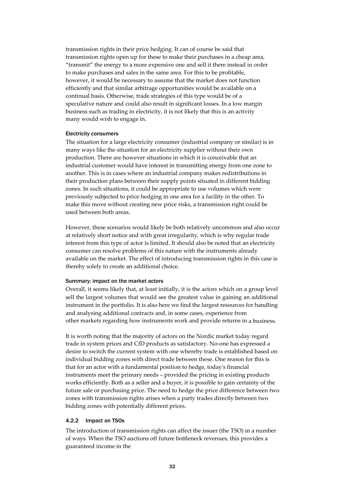transmission rights in their price hedging. It can of course be said that transmission rights open up for these to make their purchases in a cheap area, "transmit" the energy to a more expensive one and sell it there instead in order to make purchases and sales in the same area. For this to be profitable, however, it would be necessary to assume that the market does not function efficiently and that similar arbitrage opportunities would be available on a continual basis. Otherwise, trade strategies of this type would be of a speculative nature and could also result in significant losses. In a low margin business such as trading in electricity, it is not likely that this is an activity many would wish to engage in.

#### Electricity consumers

The situation for a large electricity consumer (industrial company or similar) is in many ways like the situation for an electricity supplier without their own production. There are however situations in which it is conceivable that an industrial customer would have interest in transmitting energy from one zone to another. This is in cases where an industrial company makes redistributions in their production plans between their supply points situated in different bidding zones. In such situations, it could be appropriate to use volumes which were previously subjected to price hedging in one area for a facility in the other. To make this move without creating new price risks, a transmission right could be used between both areas.

However, these scenarios would likely be both relatively uncommon and also occur at relatively short notice and with great irregularity, which is why regular trade interest from this type of actor is limited. It should also be noted that an electricity consumer can resolve problems of this nature with the instruments already available on the market. The effect of introducing transmission rights in this case is thereby solely to create an additional choice.

### Summary: impact on the market actors

Overall, it seems likely that, at least initially, it is the actors which on a group level sell the largest volumes that would see the greatest value in gaining an additional instrument in the portfolio. It is also here we find the largest resources for handling and analysing additional contracts and, in some cases, experience from other markets regarding how instruments work and provide returns in a business.

It is worth noting that the majority of actors on the Nordic market today regard trade in system prices and CfD products as satisfactory. No-one has expressed a desire to switch the current system with one whereby trade is established based on individual bidding zones with direct trade between these. One reason for this is that for an actor with a fundamental position to hedge, today's financial instruments meet the primary needs – provided the pricing in existing products works efficiently. Both as a seller and a buyer, it is possible to gain certainty of the future sale or purchasing price. The need to hedge the price difference between two zones with transmission rights arises when a party trades directly between two bidding zones with potentially different prices.

### 4.2.2 Impact on TSOs

The introduction of transmission rights can affect the issuer (the TSO) in a number of ways. When the TSO auctions off future bottleneck revenues, this provides a guaranteed income in the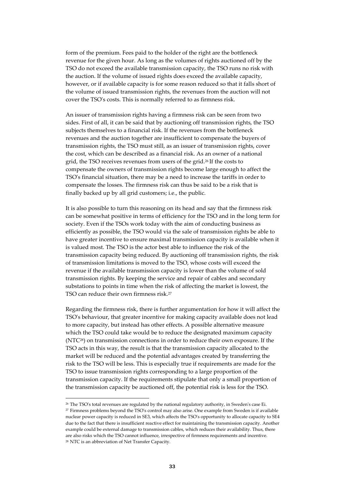form of the premium. Fees paid to the holder of the right are the bottleneck revenue for the given hour. As long as the volumes of rights auctioned off by the TSO do not exceed the available transmission capacity, the TSO runs no risk with the auction. If the volume of issued rights does exceed the available capacity, however, or if available capacity is for some reason reduced so that it falls short of the volume of issued transmission rights, the revenues from the auction will not cover the TSO's costs. This is normally referred to as firmness risk.

An issuer of transmission rights having a firmness risk can be seen from two sides. First of all, it can be said that by auctioning off transmission rights, the TSO subjects themselves to a financial risk. If the revenues from the bottleneck revenues and the auction together are insufficient to compensate the buyers of transmission rights, the TSO must still, as an issuer of transmission rights, cover the cost, which can be described as a financial risk. As an owner of a national grid, the TSO receives revenues from users of the grid.26 If the costs to compensate the owners of transmission rights become large enough to affect the TSO's financial situation, there may be a need to increase the tariffs in order to compensate the losses. The firmness risk can thus be said to be a risk that is finally backed up by all grid customers; i.e., the public.

It is also possible to turn this reasoning on its head and say that the firmness risk can be somewhat positive in terms of efficiency for the TSO and in the long term for society. Even if the TSOs work today with the aim of conducting business as efficiently as possible, the TSO would via the sale of transmission rights be able to have greater incentive to ensure maximal transmission capacity is available when it is valued most. The TSO is the actor best able to influence the risk of the transmission capacity being reduced. By auctioning off transmission rights, the risk of transmission limitations is moved to the TSO, whose costs will exceed the revenue if the available transmission capacity is lower than the volume of sold transmission rights. By keeping the service and repair of cables and secondary substations to points in time when the risk of affecting the market is lowest, the TSO can reduce their own firmness risk.<sup>27</sup>

Regarding the firmness risk, there is further argumentation for how it will affect the TSO's behaviour, that greater incentive for making capacity available does not lead to more capacity, but instead has other effects. A possible alternative measure which the TSO could take would be to reduce the designated maximum capacity (NTC28) on transmission connections in order to reduce their own exposure. If the TSO acts in this way, the result is that the transmission capacity allocated to the market will be reduced and the potential advantages created by transferring the risk to the TSO will be less. This is especially true if requirements are made for the TSO to issue transmission rights corresponding to a large proportion of the transmission capacity. If the requirements stipulate that only a small proportion of the transmission capacity be auctioned off, the potential risk is less for the TSO.

<sup>26</sup> The TSO's total revenues are regulated by the national regulatory authority, in Sweden's case Ei. 27 Firmness problems beyond the TSO's control may also arise. One example from Sweden is if available nuclear power capacity is reduced in SE3, which affects the TSO's opportunity to allocate capacity to SE4 due to the fact that there is insufficient reactive effect for maintaining the transmission capacity. Another example could be external damage to transmission cables, which reduces their availability. Thus, there are also risks which the TSO cannot influence, irrespective of firmness requirements and incentive. 28 NTC is an abbreviation of Net Transfer Capacity.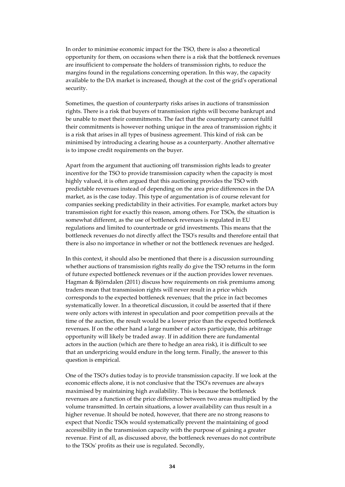In order to minimise economic impact for the TSO, there is also a theoretical opportunity for them, on occasions when there is a risk that the bottleneck revenues are insufficient to compensate the holders of transmission rights, to reduce the margins found in the regulations concerning operation. In this way, the capacity available to the DA market is increased, though at the cost of the grid's operational security.

Sometimes, the question of counterparty risks arises in auctions of transmission rights. There is a risk that buyers of transmission rights will become bankrupt and be unable to meet their commitments. The fact that the counterparty cannot fulfil their commitments is however nothing unique in the area of transmission rights; it is a risk that arises in all types of business agreement. This kind of risk can be minimised by introducing a clearing house as a counterparty. Another alternative is to impose credit requirements on the buyer.

Apart from the argument that auctioning off transmission rights leads to greater incentive for the TSO to provide transmission capacity when the capacity is most highly valued, it is often argued that this auctioning provides the TSO with predictable revenues instead of depending on the area price differences in the DA market, as is the case today. This type of argumentation is of course relevant for companies seeking predictability in their activities. For example, market actors buy transmission right for exactly this reason, among others. For TSOs, the situation is somewhat different, as the use of bottleneck revenues is regulated in EU regulations and limited to countertrade or grid investments. This means that the bottleneck revenues do not directly affect the TSO's results and therefore entail that there is also no importance in whether or not the bottleneck revenues are hedged.

In this context, it should also be mentioned that there is a discussion surrounding whether auctions of transmission rights really do give the TSO returns in the form of future expected bottleneck revenues or if the auction provides lower revenues. Hagman & Björndalen (2011) discuss how requirements on risk premiums among traders mean that transmission rights will never result in a price which corresponds to the expected bottleneck revenues; that the price in fact becomes systematically lower. In a theoretical discussion, it could be asserted that if there were only actors with interest in speculation and poor competition prevails at the time of the auction, the result would be a lower price than the expected bottleneck revenues. If on the other hand a large number of actors participate, this arbitrage opportunity will likely be traded away. If in addition there are fundamental actors in the auction (which are there to hedge an area risk), it is difficult to see that an underpricing would endure in the long term. Finally, the answer to this question is empirical.

One of the TSO's duties today is to provide transmission capacity. If we look at the economic effects alone, it is not conclusive that the TSO's revenues are always maximised by maintaining high availability. This is because the bottleneck revenues are a function of the price difference between two areas multiplied by the volume transmitted. In certain situations, a lower availability can thus result in a higher revenue. It should be noted, however, that there are no strong reasons to expect that Nordic TSOs would systematically prevent the maintaining of good accessibility in the transmission capacity with the purpose of gaining a greater revenue. First of all, as discussed above, the bottleneck revenues do not contribute to the TSOs' profits as their use is regulated. Secondly,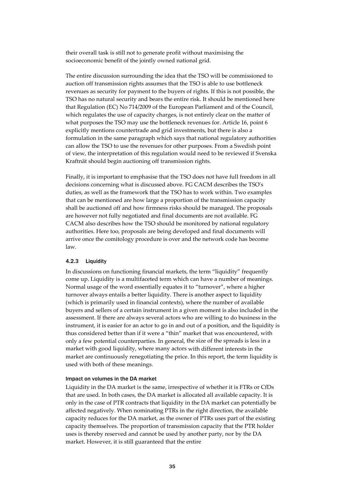their overall task is still not to generate profit without maximising the socioeconomic benefit of the jointly owned national grid.

The entire discussion surrounding the idea that the TSO will be commissioned to auction off transmission rights assumes that the TSO is able to use bottleneck revenues as security for payment to the buyers of rights. If this is not possible, the TSO has no natural security and bears the entire risk. It should be mentioned here that Regulation (EC) No 714/2009 of the European Parliament and of the Council, which regulates the use of capacity charges, is not entirely clear on the matter of what purposes the TSO may use the bottleneck revenues for. Article 16, point 6 explicitly mentions countertrade and grid investments, but there is also a formulation in the same paragraph which says that national regulatory authorities can allow the TSO to use the revenues for other purposes. From a Swedish point of view, the interpretation of this regulation would need to be reviewed if Svenska Kraftnät should begin auctioning off transmission rights.

Finally, it is important to emphasise that the TSO does not have full freedom in all decisions concerning what is discussed above. FG CACM describes the TSO's duties, as well as the framework that the TSO has to work within. Two examples that can be mentioned are how large a proportion of the transmission capacity shall be auctioned off and how firmness risks should be managed. The proposals are however not fully negotiated and final documents are not available. FG CACM also describes how the TSO should be monitored by national regulatory authorities. Here too, proposals are being developed and final documents will arrive once the comitology procedure is over and the network code has become law.

### 4.2.3 Liquidity

In discussions on functioning financial markets, the term "liquidity" frequently come up. Liquidity is a multifaceted term which can have a number of meanings. Normal usage of the word essentially equates it to "turnover", where a higher turnover always entails a better liquidity. There is another aspect to liquidity (which is primarily used in financial contexts), where the number of available buyers and sellers of a certain instrument in a given moment is also included in the assessment. If there are always several actors who are willing to do business in the instrument, it is easier for an actor to go in and out of a position, and the liquidity is thus considered better than if it were a "thin" market that was encountered, with only a few potential counterparties. In general, the size of the spreads is less in a market with good liquidity, where many actors with different interests in the market are continuously renegotiating the price. In this report, the term liquidity is used with both of these meanings.

### Impact on volumes in the DA market

Liquidity in the DA market is the same, irrespective of whether it is FTRs or CfDs that are used. In both cases, the DA market is allocated all available capacity. It is only in the case of PTR contracts that liquidity in the DA market can potentially be affected negatively. When nominating PTRs in the right direction, the available capacity reduces for the DA market, as the owner of PTRs uses part of the existing capacity themselves. The proportion of transmission capacity that the PTR holder uses is thereby reserved and cannot be used by another party, nor by the DA market. However, it is still guaranteed that the entire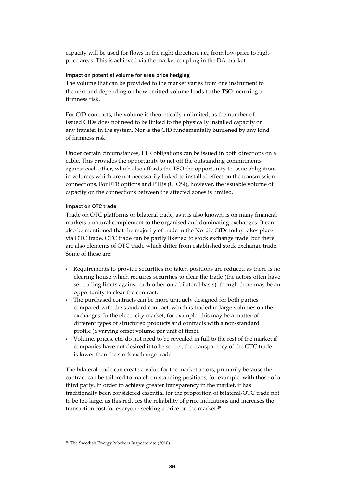capacity will be used for flows in the right direction, i.e., from low-price to highprice areas. This is achieved via the market coupling in the DA market.

### Impact on potential volume for area price hedging

The volume that can be provided to the market varies from one instrument to the next and depending on how emitted volume leads to the TSO incurring a firmness risk.

For CfD-contracts, the volume is theoretically unlimited, as the number of issued CfDs does not need to be linked to the physically installed capacity on any transfer in the system. Nor is the CfD fundamentally burdened by any kind of firmness risk.

Under certain circumstances, FTR obligations can be issued in both directions on a cable. This provides the opportunity to net off the outstanding commitments against each other, which also affords the TSO the opportunity to issue obligations in volumes which are not necessarily linked to installed effect on the transmission connections. For FTR options and PTRs (UIOSI), however, the issuable volume of capacity on the connections between the affected zones is limited.

### Impact on OTC trade

Trade on OTC platforms or bilateral trade, as it is also known, is on many financial markets a natural complement to the organised and dominating exchanges. It can also be mentioned that the majority of trade in the Nordic CfDs today takes place via OTC trade. OTC trade can be partly likened to stock exchange trade, but there are also elements of OTC trade which differ from established stock exchange trade. Some of these are:

- Requirements to provide securities for taken positions are reduced as there is no clearing house which requires securities to clear the trade (the actors often have set trading limits against each other on a bilateral basis), though there may be an opportunity to clear the contract.
- The purchased contracts can be more uniquely designed for both parties compared with the standard contract, which is traded in large volumes on the exchanges. In the electricity market, for example, this may be a matter of different types of structured products and contracts with a non-standard profile (a varying offset volume per unit of time).
- Volume, prices, etc. do not need to be revealed in full to the rest of the market if companies have not desired it to be so; i.e., the transparency of the OTC trade is lower than the stock exchange trade.

The bilateral trade can create a value for the market actors, primarily because the contract can be tailored to match outstanding positions, for example, with those of a third party. In order to achieve greater transparency in the market, it has traditionally been considered essential for the proportion of bilateral/OTC trade not to be too large, as this reduces the reliability of price indications and increases the transaction cost for everyone seeking a price on the market.29

<sup>29</sup> The Swedish Energy Markets Inspectorate (2010).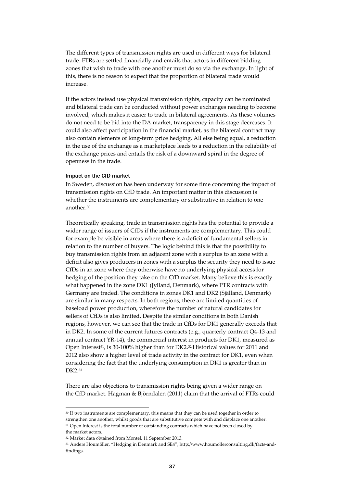The different types of transmission rights are used in different ways for bilateral trade. FTRs are settled financially and entails that actors in different bidding zones that wish to trade with one another must do so via the exchange. In light of this, there is no reason to expect that the proportion of bilateral trade would increase.

If the actors instead use physical transmission rights, capacity can be nominated and bilateral trade can be conducted without power exchanges needing to become involved, which makes it easier to trade in bilateral agreements. As these volumes do not need to be bid into the DA market, transparency in this stage decreases. It could also affect participation in the financial market, as the bilateral contract may also contain elements of long-term price hedging. All else being equal, a reduction in the use of the exchange as a marketplace leads to a reduction in the reliability of the exchange prices and entails the risk of a downward spiral in the degree of openness in the trade.

### Impact on the CfD market

In Sweden, discussion has been underway for some time concerning the impact of transmission rights on CfD trade. An important matter in this discussion is whether the instruments are complementary or substitutive in relation to one another.30

Theoretically speaking, trade in transmission rights has the potential to provide a wider range of issuers of CfDs if the instruments are complementary. This could for example be visible in areas where there is a deficit of fundamental sellers in relation to the number of buyers. The logic behind this is that the possibility to buy transmission rights from an adjacent zone with a surplus to an zone with a deficit also gives producers in zones with a surplus the security they need to issue CfDs in an zone where they otherwise have no underlying physical access for hedging of the position they take on the CfD market. Many believe this is exactly what happened in the zone DK1 (Jylland, Denmark), where PTR contracts with Germany are traded. The conditions in zones DK1 and DK2 (Själland, Denmark) are similar in many respects. In both regions, there are limited quantities of baseload power production, wherefore the number of natural candidates for sellers of CfDs is also limited. Despite the similar conditions in both Danish regions, however, we can see that the trade in CfDs for DK1 generally exceeds that in DK2. In some of the current futures contracts (e.g., quarterly contract Q4-13 and annual contract YR-14), the commercial interest in products for DK1, measured as Open Interest<sup>31</sup>, is 30-100% higher than for DK2.<sup>32</sup> Historical values for 2011 and 2012 also show a higher level of trade activity in the contract for DK1, even when considering the fact that the underlying consumption in DK1 is greater than in DK2.33

There are also objections to transmission rights being given a wider range on the CfD market. Hagman & Björndalen (2011) claim that the arrival of FTRs could

<sup>&</sup>lt;sup>30</sup> If two instruments are complementary, this means that they can be used together in order to strengthen one another, whilst goods that are substitutive compete with and displace one another. <sup>31</sup> Open Interest is the total number of outstanding contracts which have not been closed by the market actors.

<sup>32</sup> Market data obtained from Montel, 11 September 2013.

<sup>33</sup> [Anders Houmöller, "Hedging in Denmark and SE4", http://www.houmollerconsulting.dk/facts-and](http://www.houmollerconsulting.dk/facts-and-findings)[findings.](http://www.houmollerconsulting.dk/facts-and-findings)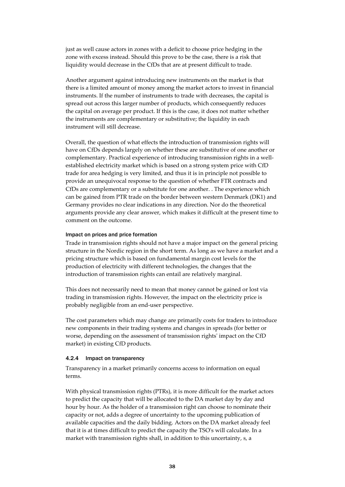just as well cause actors in zones with a deficit to choose price hedging in the zone with excess instead. Should this prove to be the case, there is a risk that liquidity would decrease in the CfDs that are at present difficult to trade.

Another argument against introducing new instruments on the market is that there is a limited amount of money among the market actors to invest in financial instruments. If the number of instruments to trade with decreases, the capital is spread out across this larger number of products, which consequently reduces the capital on average per product. If this is the case, it does not matter whether the instruments are complementary or substitutive; the liquidity in each instrument will still decrease.

Overall, the question of what effects the introduction of transmission rights will have on CfDs depends largely on whether these are substitutive of one another or complementary. Practical experience of introducing transmission rights in a wellestablished electricity market which is based on a strong system price with CfD trade for area hedging is very limited, and thus it is in principle not possible to provide an unequivocal response to the question of whether FTR contracts and CfDs are complementary or a substitute for one another. . The experience which can be gained from PTR trade on the border between western Denmark (DK1) and Germany provides no clear indications in any direction. Nor do the theoretical arguments provide any clear answer, which makes it difficult at the present time to comment on the outcome.

### Impact on prices and price formation

Trade in transmission rights should not have a major impact on the general pricing structure in the Nordic region in the short term. As long as we have a market and a pricing structure which is based on fundamental margin cost levels for the production of electricity with different technologies, the changes that the introduction of transmission rights can entail are relatively marginal.

This does not necessarily need to mean that money cannot be gained or lost via trading in transmission rights. However, the impact on the electricity price is probably negligible from an end-user perspective.

The cost parameters which may change are primarily costs for traders to introduce new components in their trading systems and changes in spreads (for better or worse, depending on the assessment of transmission rights' impact on the CfD market) in existing CfD products.

#### 4.2.4 Impact on transparency

Transparency in a market primarily concerns access to information on equal terms.

With physical transmission rights (PTRs), it is more difficult for the market actors to predict the capacity that will be allocated to the DA market day by day and hour by hour. As the holder of a transmission right can choose to nominate their capacity or not, adds a degree of uncertainty to the upcoming publication of available capacities and the daily bidding. Actors on the DA market already feel that it is at times difficult to predict the capacity the TSO's will calculate. In a market with transmission rights shall, in addition to this uncertainty, s, a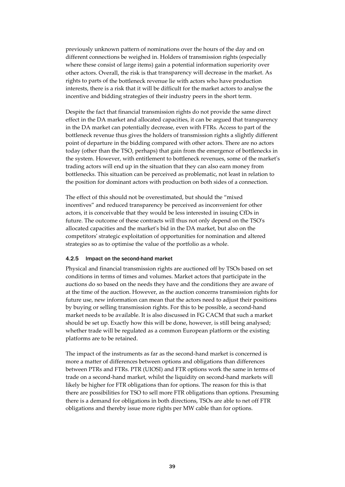previously unknown pattern of nominations over the hours of the day and on different connections be weighed in. Holders of transmission rights (especially where these consist of large items) gain a potential information superiority over other actors. Overall, the risk is that transparency will decrease in the market. As rights to parts of the bottleneck revenue lie with actors who have production interests, there is a risk that it will be difficult for the market actors to analyse the incentive and bidding strategies of their industry peers in the short term.

Despite the fact that financial transmission rights do not provide the same direct effect in the DA market and allocated capacities, it can be argued that transparency in the DA market can potentially decrease, even with FTRs. Access to part of the bottleneck revenue thus gives the holders of transmission rights a slightly different point of departure in the bidding compared with other actors. There are no actors today (other than the TSO, perhaps) that gain from the emergence of bottlenecks in the system. However, with entitlement to bottleneck revenues, some of the market's trading actors will end up in the situation that they can also earn money from bottlenecks. This situation can be perceived as problematic, not least in relation to the position for dominant actors with production on both sides of a connection.

The effect of this should not be overestimated, but should the "mixed incentives" and reduced transparency be perceived as inconvenient for other actors, it is conceivable that they would be less interested in issuing CfDs in future. The outcome of these contracts will thus not only depend on the TSO's allocated capacities and the market's bid in the DA market, but also on the competitors' strategic exploitation of opportunities for nomination and altered strategies so as to optimise the value of the portfolio as a whole.

### 4.2.5 Impact on the second-hand market

Physical and financial transmission rights are auctioned off by TSOs based on set conditions in terms of times and volumes. Market actors that participate in the auctions do so based on the needs they have and the conditions they are aware of at the time of the auction. However, as the auction concerns transmission rights for future use, new information can mean that the actors need to adjust their positions by buying or selling transmission rights. For this to be possible, a second-hand market needs to be available. It is also discussed in FG CACM that such a market should be set up. Exactly how this will be done, however, is still being analysed; whether trade will be regulated as a common European platform or the existing platforms are to be retained.

The impact of the instruments as far as the second-hand market is concerned is more a matter of differences between options and obligations than differences between PTRs and FTRs. PTR (UIOSI) and FTR options work the same in terms of trade on a second-hand market, whilst the liquidity on second-hand markets will likely be higher for FTR obligations than for options. The reason for this is that there are possibilities for TSO to sell more FTR obligations than options. Presuming there is a demand for obligations in both directions, TSOs are able to net off FTR obligations and thereby issue more rights per MW cable than for options.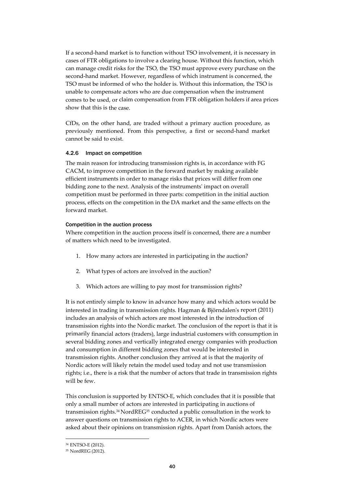If a second-hand market is to function without TSO involvement, it is necessary in cases of FTR obligations to involve a clearing house. Without this function, which can manage credit risks for the TSO, the TSO must approve every purchase on the second-hand market. However, regardless of which instrument is concerned, the TSO must be informed of who the holder is. Without this information, the TSO is unable to compensate actors who are due compensation when the instrument comes to be used, or claim compensation from FTR obligation holders if area prices show that this is the case.

CfDs, on the other hand, are traded without a primary auction procedure, as previously mentioned. From this perspective, a first or second-hand market cannot be said to exist.

## 4.2.6 Impact on competition

The main reason for introducing transmission rights is, in accordance with FG CACM, to improve competition in the forward market by making available efficient instruments in order to manage risks that prices will differ from one bidding zone to the next. Analysis of the instruments' impact on overall competition must be performed in three parts: competition in the initial auction process, effects on the competition in the DA market and the same effects on the forward market.

## Competition in the auction process

Where competition in the auction process itself is concerned, there are a number of matters which need to be investigated.

- 1. How many actors are interested in participating in the auction?
- 2. What types of actors are involved in the auction?
- 3. Which actors are willing to pay most for transmission rights?

It is not entirely simple to know in advance how many and which actors would be interested in trading in transmission rights. Hagman & Björndalen's report (2011) includes an analysis of which actors are most interested in the introduction of transmission rights into the Nordic market. The conclusion of the report is that it is primarily financial actors (traders), large industrial customers with consumption in several bidding zones and vertically integrated energy companies with production and consumption in different bidding zones that would be interested in transmission rights. Another conclusion they arrived at is that the majority of Nordic actors will likely retain the model used today and not use transmission rights; i.e., there is a risk that the number of actors that trade in transmission rights will be few.

This conclusion is supported by ENTSO-E, which concludes that it is possible that only a small number of actors are interested in participating in auctions of transmission rights.34 NordREG35 conducted a public consultation in the work to answer questions on transmission rights to ACER, in which Nordic actors were asked about their opinions on transmission rights. Apart from Danish actors, the

<sup>34</sup> ENTSO-E (2012).

<sup>35</sup> NordREG (2012).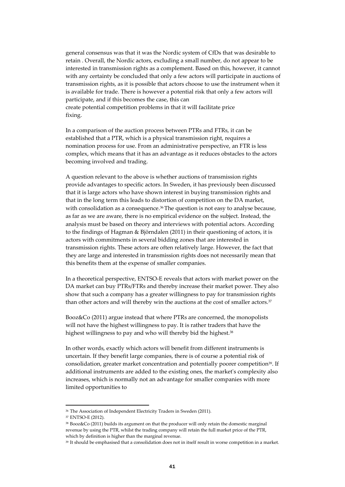general consensus was that it was the Nordic system of CfDs that was desirable to retain . Overall, the Nordic actors, excluding a small number, do not appear to be interested in transmission rights as a complement. Based on this, however, it cannot with any certainty be concluded that only a few actors will participate in auctions of transmission rights, as it is possible that actors choose to use the instrument when it is available for trade. There is however a potential risk that only a few actors will participate, and if this becomes the case, this can create potential competition problems in that it will facilitate price fixing.

In a comparison of the auction process between PTRs and FTRs, it can be established that a PTR, which is a physical transmission right, requires a nomination process for use. From an administrative perspective, an FTR is less complex, which means that it has an advantage as it reduces obstacles to the actors becoming involved and trading.

A question relevant to the above is whether auctions of transmission rights provide advantages to specific actors. In Sweden, it has previously been discussed that it is large actors who have shown interest in buying transmission rights and that in the long term this leads to distortion of competition on the DA market, with consolidation as a consequence.<sup>36</sup> The question is not easy to analyse because, as far as we are aware, there is no empirical evidence on the subject. Instead, the analysis must be based on theory and interviews with potential actors. According to the findings of Hagman & Björndalen (2011) in their questioning of actors, it is actors with commitments in several bidding zones that are interested in transmission rights. These actors are often relatively large. However, the fact that they are large and interested in transmission rights does not necessarily mean that this benefits them at the expense of smaller companies.

In a theoretical perspective, ENTSO-E reveals that actors with market power on the DA market can buy PTRs/FTRs and thereby increase their market power. They also show that such a company has a greater willingness to pay for transmission rights than other actors and will thereby win the auctions at the cost of smaller actors.<sup>37</sup>

Booz&Co (2011) argue instead that where PTRs are concerned, the monopolists will not have the highest willingness to pay. It is rather traders that have the highest willingness to pay and who will thereby bid the highest.<sup>38</sup>

In other words, exactly which actors will benefit from different instruments is uncertain. If they benefit large companies, there is of course a potential risk of consolidation, greater market concentration and potentially poorer competition<sup>39</sup>. If additional instruments are added to the existing ones, the market's complexity also increases, which is normally not an advantage for smaller companies with more limited opportunities to

<sup>36</sup> The Association of Independent Electricity Traders in Sweden (2011).

<sup>37</sup> ENTSO-E (2012).

<sup>38</sup> Booz&Co (2011) builds its argument on that the producer will only retain the domestic marginal revenue by using the PTR, whilst the trading company will retain the full market price of the PTR, which by definition is higher than the marginal revenue.

<sup>39</sup> It should be emphasised that a consolidation does not in itself result in worse competition in a market.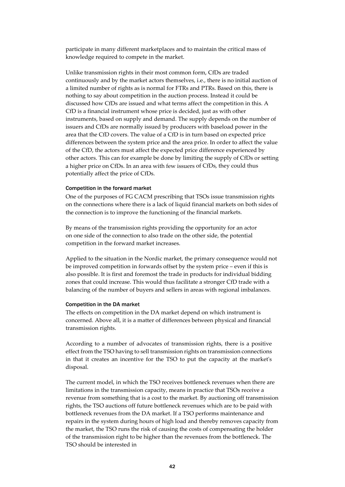participate in many different marketplaces and to maintain the critical mass of knowledge required to compete in the market.

Unlike transmission rights in their most common form, CfDs are traded continuously and by the market actors themselves, i.e., there is no initial auction of a limited number of rights as is normal for FTRs and PTRs. Based on this, there is nothing to say about competition in the auction process. Instead it could be discussed how CfDs are issued and what terms affect the competition in this. A CfD is a financial instrument whose price is decided, just as with other instruments, based on supply and demand. The supply depends on the number of issuers and CfDs are normally issued by producers with baseload power in the area that the CfD covers. The value of a CfD is in turn based on expected price differences between the system price and the area price. In order to affect the value of the CfD, the actors must affect the expected price difference experienced by other actors. This can for example be done by limiting the supply of CfDs or setting a higher price on CfDs. In an area with few issuers of CfDs, they could thus potentially affect the price of CfDs.

### Competition in the forward market

One of the purposes of FG CACM prescribing that TSOs issue transmission rights on the connections where there is a lack of liquid financial markets on both sides of the connection is to improve the functioning of the financial markets.

By means of the transmission rights providing the opportunity for an actor on one side of the connection to also trade on the other side, the potential competition in the forward market increases.

Applied to the situation in the Nordic market, the primary consequence would not be improved competition in forwards offset by the system price – even if this is also possible. It is first and foremost the trade in products for individual bidding zones that could increase. This would thus facilitate a stronger CfD trade with a balancing of the number of buyers and sellers in areas with regional imbalances.

### Competition in the DA market

The effects on competition in the DA market depend on which instrument is concerned. Above all, it is a matter of differences between physical and financial transmission rights.

According to a number of advocates of transmission rights, there is a positive effect from the TSO having to sell transmission rights on transmission connections in that it creates an incentive for the TSO to put the capacity at the market's disposal.

The current model, in which the TSO receives bottleneck revenues when there are limitations in the transmission capacity, means in practice that TSOs receive a revenue from something that is a cost to the market. By auctioning off transmission rights, the TSO auctions off future bottleneck revenues which are to be paid with bottleneck revenues from the DA market. If a TSO performs maintenance and repairs in the system during hours of high load and thereby removes capacity from the market, the TSO runs the risk of causing the costs of compensating the holder of the transmission right to be higher than the revenues from the bottleneck. The TSO should be interested in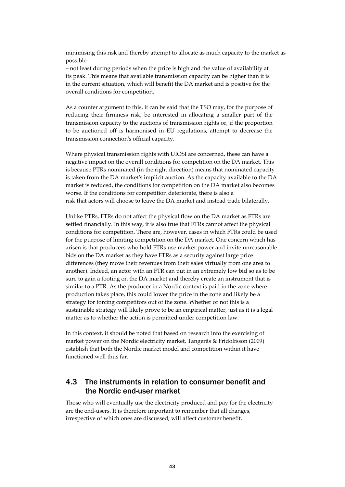minimising this risk and thereby attempt to allocate as much capacity to the market as possible

– not least during periods when the price is high and the value of availability at its peak. This means that available transmission capacity can be higher than it is in the current situation, which will benefit the DA market and is positive for the overall conditions for competition.

As a counter argument to this, it can be said that the TSO may, for the purpose of reducing their firmness risk, be interested in allocating a smaller part of the transmission capacity to the auctions of transmission rights or, if the proportion to be auctioned off is harmonised in EU regulations, attempt to decrease the transmission connection's official capacity.

Where physical transmission rights with UIOSI are concerned, these can have a negative impact on the overall conditions for competition on the DA market. This is because PTRs nominated (in the right direction) means that nominated capacity is taken from the DA market's implicit auction. As the capacity available to the DA market is reduced, the conditions for competition on the DA market also becomes worse. If the conditions for competition deteriorate, there is also a risk that actors will choose to leave the DA market and instead trade bilaterally.

Unlike PTRs, FTRs do not affect the physical flow on the DA market as FTRs are settled financially. In this way, it is also true that FTRs cannot affect the physical conditions for competition. There are, however, cases in which FTRs could be used for the purpose of limiting competition on the DA market. One concern which has arisen is that producers who hold FTRs use market power and invite unreasonable bids on the DA market as they have FTRs as a security against large price differences (they move their revenues from their sales virtually from one area to another). Indeed, an actor with an FTR can put in an extremely low bid so as to be sure to gain a footing on the DA market and thereby create an instrument that is similar to a PTR. As the producer in a Nordic context is paid in the zone where production takes place, this could lower the price in the zone and likely be a strategy for forcing competitors out of the zone. Whether or not this is a sustainable strategy will likely prove to be an empirical matter, just as it is a legal matter as to whether the action is permitted under competition law.

In this context, it should be noted that based on research into the exercising of market power on the Nordic electricity market, Tangerås & Fridolfsson (2009) establish that both the Nordic market model and competition within it have functioned well thus far.

## 4.3 The instruments in relation to consumer benefit and the Nordic end-user market

Those who will eventually use the electricity produced and pay for the electricity are the end-users. It is therefore important to remember that all changes, irrespective of which ones are discussed, will affect customer benefit.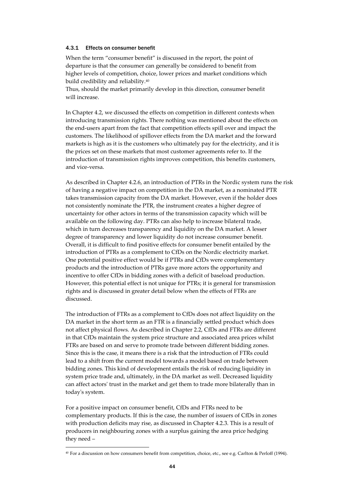## 4.3.1 Effects on consumer benefit

When the term "consumer benefit" is discussed in the report, the point of departure is that the consumer can generally be considered to benefit from higher levels of competition, choice, lower prices and market conditions which build credibility and reliability.40

Thus, should the market primarily develop in this direction, consumer benefit will increase.

In Chapter 4.2, we discussed the effects on competition in different contexts when introducing transmission rights. There nothing was mentioned about the effects on the end-users apart from the fact that competition effects spill over and impact the customers. The likelihood of spillover effects from the DA market and the forward markets is high as it is the customers who ultimately pay for the electricity, and it is the prices set on these markets that most customer agreements refer to. If the introduction of transmission rights improves competition, this benefits customers, and vice-versa.

As described in Chapter 4.2.6, an introduction of PTRs in the Nordic system runs the risk of having a negative impact on competition in the DA market, as a nominated PTR takes transmission capacity from the DA market. However, even if the holder does not consistently nominate the PTR, the instrument creates a higher degree of uncertainty for other actors in terms of the transmission capacity which will be available on the following day. PTRs can also help to increase bilateral trade, which in turn decreases transparency and liquidity on the DA market. A lesser degree of transparency and lower liquidity do not increase consumer benefit. Overall, it is difficult to find positive effects for consumer benefit entailed by the introduction of PTRs as a complement to CfDs on the Nordic electricity market. One potential positive effect would be if PTRs and CfDs were complementary products and the introduction of PTRs gave more actors the opportunity and incentive to offer CfDs in bidding zones with a deficit of baseload production. However, this potential effect is not unique for PTRs; it is general for transmission rights and is discussed in greater detail below when the effects of FTRs are discussed.

The introduction of FTRs as a complement to CfDs does not affect liquidity on the DA market in the short term as an FTR is a financially settled product which does not affect physical flows. As described in Chapter 2.2, CfDs and FTRs are different in that CfDs maintain the system price structure and associated area prices whilst FTRs are based on and serve to promote trade between different bidding zones. Since this is the case, it means there is a risk that the introduction of FTRs could lead to a shift from the current model towards a model based on trade between bidding zones. This kind of development entails the risk of reducing liquidity in system price trade and, ultimately, in the DA market as well. Decreased liquidity can affect actors' trust in the market and get them to trade more bilaterally than in today's system.

For a positive impact on consumer benefit, CfDs and FTRs need to be complementary products. If this is the case, the number of issuers of CfDs in zones with production deficits may rise, as discussed in Chapter 4.2.3. This is a result of producers in neighbouring zones with a surplus gaining the area price hedging they need –

<sup>40</sup> For a discussion on how consumers benefit from competition, choice, etc., see e.g. Carlton & Perloff (1994).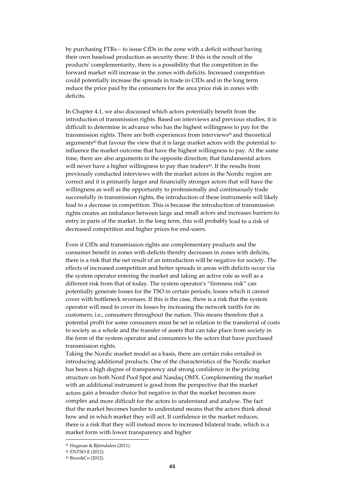by purchasing FTRs – to issue CfDs in the zone with a deficit without having their own baseload production as security there. If this is the result of the products' complementarity, there is a possibility that the competition in the forward market will increase in the zones with deficits. Increased competition could potentially increase the spreads in trade in CfDs and in the long term reduce the price paid by the consumers for the area price risk in zones with deficits.

In Chapter 4.1, we also discussed which actors potentially benefit from the introduction of transmission rights. Based on interviews and previous studies, it is difficult to determine in advance who has the highest willingness to pay for the transmission rights. There are both experiences from interviews<sup>41</sup> and theoretical arguments<sup>42</sup> that favour the view that it is large market actors with the potential to influence the market outcome that have the highest willingness to pay. At the same time, there are also arguments in the opposite direction; that fundamental actors will never have a higher willingness to pay than traders<sup>43</sup>. If the results from previously conducted interviews with the market actors in the Nordic region are correct and it is primarily larger and financially stronger actors that will have the willingness as well as the opportunity to professionally and continuously trade successfully in transmission rights, the introduction of these instruments will likely lead to a decrease in competition. This is because the introduction of transmission rights creates an imbalance between large and small actors and increases barriers to entry in parts of the market. In the long term, this will probably lead to a risk of decreased competition and higher prices for end-users.

Even if CfDs and transmission rights are complementary products and the consumer benefit in zones with deficits thereby decreases in zones with deficits, there is a risk that the net result of an introduction will be negative for society. The effects of increased competition and better spreads in areas with deficits occur via the system operator entering the market and taking an active role as well as a different risk from that of today. The system operator's "firmness risk" can potentially generate losses for the TSO in certain periods; losses which it cannot cover with bottleneck revenues. If this is the case, there is a risk that the system operator will need to cover its losses by increasing the network tariffs for its customers; i.e., consumers throughout the nation. This means therefore that a potential profit for some consumers must be set in relation to the transferral of costs to society as a whole and the transfer of assets that can take place from society in the form of the system operator and consumers to the actors that have purchased transmission rights.

Taking the Nordic market model as a basis, there are certain risks entailed in introducing additional products. One of the characteristics of the Nordic market has been a high degree of transparency and strong confidence in the pricing structure on both Nord Pool Spot and Nasdaq OMX. Complementing the market with an additional instrument is good from the perspective that the market actors gain a broader choice but negative in that the market becomes more complex and more difficult for the actors to understand and analyse. The fact that the market becomes harder to understand means that the actors think about how and in which market they will act. If confidence in the market reduces, there is a risk that they will instead move to increased bilateral trade, which is a market form with lower transparency and higher

<sup>41</sup> Hagman & Björndalen (2011).

<sup>42</sup> ENTSO-E (2012).

<sup>43</sup> Booz&Co (2012).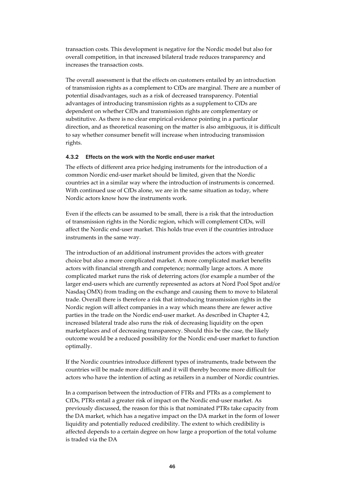transaction costs. This development is negative for the Nordic model but also for overall competition, in that increased bilateral trade reduces transparency and increases the transaction costs.

The overall assessment is that the effects on customers entailed by an introduction of transmission rights as a complement to CfDs are marginal. There are a number of potential disadvantages, such as a risk of decreased transparency. Potential advantages of introducing transmission rights as a supplement to CfDs are dependent on whether CfDs and transmission rights are complementary or substitutive. As there is no clear empirical evidence pointing in a particular direction, and as theoretical reasoning on the matter is also ambiguous, it is difficult to say whether consumer benefit will increase when introducing transmission rights.

### 4.3.2 Effects on the work with the Nordic end-user market

The effects of different area price hedging instruments for the introduction of a common Nordic end-user market should be limited, given that the Nordic countries act in a similar way where the introduction of instruments is concerned. With continued use of CfDs alone, we are in the same situation as today, where Nordic actors know how the instruments work.

Even if the effects can be assumed to be small, there is a risk that the introduction of transmission rights in the Nordic region, which will complement CfDs, will affect the Nordic end-user market. This holds true even if the countries introduce instruments in the same way.

The introduction of an additional instrument provides the actors with greater choice but also a more complicated market. A more complicated market benefits actors with financial strength and competence; normally large actors. A more complicated market runs the risk of deterring actors (for example a number of the larger end-users which are currently represented as actors at Nord Pool Spot and/or Nasdaq OMX) from trading on the exchange and causing them to move to bilateral trade. Overall there is therefore a risk that introducing transmission rights in the Nordic region will affect companies in a way which means there are fewer active parties in the trade on the Nordic end-user market. As described in Chapter 4.2, increased bilateral trade also runs the risk of decreasing liquidity on the open marketplaces and of decreasing transparency. Should this be the case, the likely outcome would be a reduced possibility for the Nordic end-user market to function optimally.

If the Nordic countries introduce different types of instruments, trade between the countries will be made more difficult and it will thereby become more difficult for actors who have the intention of acting as retailers in a number of Nordic countries.

In a comparison between the introduction of FTRs and PTRs as a complement to CfDs, PTRs entail a greater risk of impact on the Nordic end-user market. As previously discussed, the reason for this is that nominated PTRs take capacity from the DA market, which has a negative impact on the DA market in the form of lower liquidity and potentially reduced credibility. The extent to which credibility is affected depends to a certain degree on how large a proportion of the total volume is traded via the DA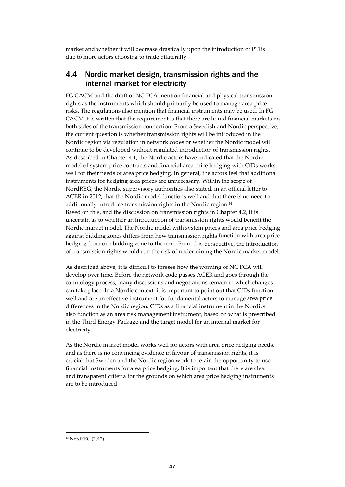market and whether it will decrease drastically upon the introduction of PTRs due to more actors choosing to trade bilaterally.

## 4.4 Nordic market design, transmission rights and the internal market for electricity

FG CACM and the draft of NC FCA mention financial and physical transmission rights as the instruments which should primarily be used to manage area price risks. The regulations also mention that financial instruments may be used. In FG CACM it is written that the requirement is that there are liquid financial markets on both sides of the transmission connection. From a Swedish and Nordic perspective, the current question is whether transmission rights will be introduced in the Nordic region via regulation in network codes or whether the Nordic model will continue to be developed without regulated introduction of transmission rights. As described in Chapter 4.1, the Nordic actors have indicated that the Nordic model of system price contracts and financial area price hedging with CfDs works well for their needs of area price hedging. In general, the actors feel that additional instruments for hedging area prices are unnecessary. Within the scope of NordREG, the Nordic supervisory authorities also stated, in an official letter to ACER in 2012, that the Nordic model functions well and that there is no need to additionally introduce transmission rights in the Nordic region.<sup>44</sup> Based on this, and the discussion on transmission rights in Chapter 4.2, it is uncertain as to whether an introduction of transmission rights would benefit the Nordic market model. The Nordic model with system prices and area price hedging against bidding zones differs from how transmission rights function with area price hedging from one bidding zone to the next. From this perspective, the introduction of transmission rights would run the risk of undermining the Nordic market model.

As described above, it is difficult to foresee how the wording of NC FCA will develop over time. Before the network code passes ACER and goes through the comitology process, many discussions and negotiations remain in which changes can take place. In a Nordic context, it is important to point out that CfDs function well and are an effective instrument for fundamental actors to manage area price differences in the Nordic region. CfDs as a financial instrument in the Nordics also function as an area risk management instrument, based on what is prescribed in the Third Energy Package and the target model for an internal market for electricity.

As the Nordic market model works well for actors with area price hedging needs, and as there is no convincing evidence in favour of transmission rights, it is crucial that Sweden and the Nordic region work to retain the opportunity to use financial instruments for area price hedging. It is important that there are clear and transparent criteria for the grounds on which area price hedging instruments are to be introduced.

<sup>44</sup> NordREG (2012).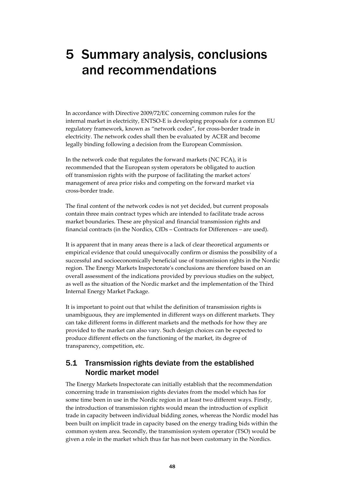# 5 Summary analysis, conclusions and recommendations

In accordance with Directive 2009/72/EC concerning common rules for the internal market in electricity, ENTSO-E is developing proposals for a common EU regulatory framework, known as "network codes", for cross-border trade in electricity. The network codes shall then be evaluated by ACER and become legally binding following a decision from the European Commission.

In the network code that regulates the forward markets (NC FCA), it is recommended that the European system operators be obligated to auction off transmission rights with the purpose of facilitating the market actors' management of area price risks and competing on the forward market via cross-border trade.

The final content of the network codes is not yet decided, but current proposals contain three main contract types which are intended to facilitate trade across market boundaries. These are physical and financial transmission rights and financial contracts (in the Nordics, CfDs – Contracts for Differences – are used).

It is apparent that in many areas there is a lack of clear theoretical arguments or empirical evidence that could unequivocally confirm or dismiss the possibility of a successful and socioeconomically beneficial use of transmission rights in the Nordic region. The Energy Markets Inspectorate's conclusions are therefore based on an overall assessment of the indications provided by previous studies on the subject, as well as the situation of the Nordic market and the implementation of the Third Internal Energy Market Package.

It is important to point out that whilst the definition of transmission rights is unambiguous, they are implemented in different ways on different markets. They can take different forms in different markets and the methods for how they are provided to the market can also vary. Such design choices can be expected to produce different effects on the functioning of the market, its degree of transparency, competition, etc.

## 5.1 Transmission rights deviate from the established Nordic market model

The Energy Markets Inspectorate can initially establish that the recommendation concerning trade in transmission rights deviates from the model which has for some time been in use in the Nordic region in at least two different ways. Firstly, the introduction of transmission rights would mean the introduction of explicit trade in capacity between individual bidding zones, whereas the Nordic model has been built on implicit trade in capacity based on the energy trading bids within the common system area. Secondly, the transmission system operator (TSO) would be given a role in the market which thus far has not been customary in the Nordics.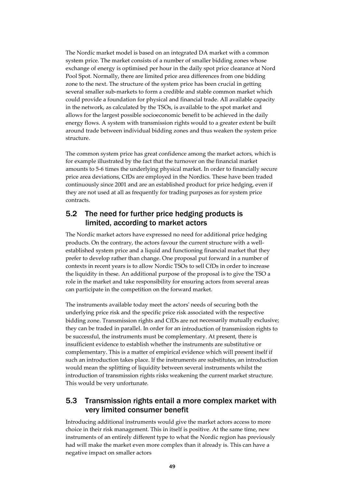The Nordic market model is based on an integrated DA market with a common system price. The market consists of a number of smaller bidding zones whose exchange of energy is optimised per hour in the daily spot price clearance at Nord Pool Spot. Normally, there are limited price area differences from one bidding zone to the next. The structure of the system price has been crucial in getting several smaller sub-markets to form a credible and stable common market which could provide a foundation for physical and financial trade. All available capacity in the network, as calculated by the TSOs, is available to the spot market and allows for the largest possible socioeconomic benefit to be achieved in the daily energy flows. A system with transmission rights would to a greater extent be built around trade between individual bidding zones and thus weaken the system price structure.

The common system price has great confidence among the market actors, which is for example illustrated by the fact that the turnover on the financial market amounts to 5-6 times the underlying physical market. In order to financially secure price area deviations, CfDs are employed in the Nordics. These have been traded continuously since 2001 and are an established product for price hedging, even if they are not used at all as frequently for trading purposes as for system price contracts.

## 5.2 The need for further price hedging products is limited, according to market actors

The Nordic market actors have expressed no need for additional price hedging products. On the contrary, the actors favour the current structure with a wellestablished system price and a liquid and functioning financial market that they prefer to develop rather than change. One proposal put forward in a number of contexts in recent years is to allow Nordic TSOs to sell CfDs in order to increase the liquidity in these. An additional purpose of the proposal is to give the TSO a role in the market and take responsibility for ensuring actors from several areas can participate in the competition on the forward market.

The instruments available today meet the actors' needs of securing both the underlying price risk and the specific price risk associated with the respective bidding zone. Transmission rights and CfDs are not necessarily mutually exclusive; they can be traded in parallel. In order for an introduction of transmission rights to be successful, the instruments must be complementary. At present, there is insufficient evidence to establish whether the instruments are substitutive or complementary. This is a matter of empirical evidence which will present itself if such an introduction takes place. If the instruments are substitutes, an introduction would mean the splitting of liquidity between several instruments whilst the introduction of transmission rights risks weakening the current market structure. This would be very unfortunate.

## 5.3 Transmission rights entail a more complex market with very limited consumer benefit

Introducing additional instruments would give the market actors access to more choice in their risk management. This in itself is positive. At the same time, new instruments of an entirely different type to what the Nordic region has previously had will make the market even more complex than it already is. This can have a negative impact on smaller actors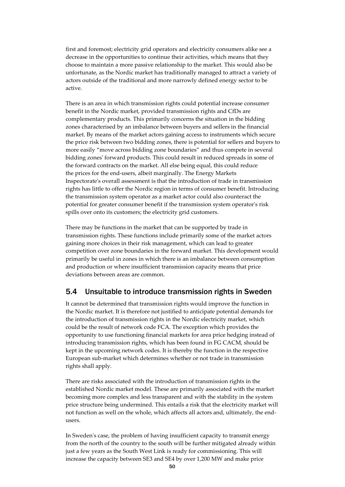first and foremost; electricity grid operators and electricity consumers alike see a decrease in the opportunities to continue their activities, which means that they choose to maintain a more passive relationship to the market. This would also be unfortunate, as the Nordic market has traditionally managed to attract a variety of actors outside of the traditional and more narrowly defined energy sector to be active.

There is an area in which transmission rights could potential increase consumer benefit in the Nordic market, provided transmission rights and CfDs are complementary products. This primarily concerns the situation in the bidding zones characterised by an imbalance between buyers and sellers in the financial market. By means of the market actors gaining access to instruments which secure the price risk between two bidding zones, there is potential for sellers and buyers to more easily "move across bidding zone boundaries" and thus compete in several bidding zones' forward products. This could result in reduced spreads in some of the forward contracts on the market. All else being equal, this could reduce the prices for the end-users, albeit marginally. The Energy Markets Inspectorate's overall assessment is that the introduction of trade in transmission rights has little to offer the Nordic region in terms of consumer benefit. Introducing the transmission system operator as a market actor could also counteract the potential for greater consumer benefit if the transmission system operator's risk spills over onto its customers; the electricity grid customers.

There may be functions in the market that can be supported by trade in transmission rights. These functions include primarily some of the market actors gaining more choices in their risk management, which can lead to greater competition over zone boundaries in the forward market. This development would primarily be useful in zones in which there is an imbalance between consumption and production or where insufficient transmission capacity means that price deviations between areas are common.

## 5.4 Unsuitable to introduce transmission rights in Sweden

It cannot be determined that transmission rights would improve the function in the Nordic market. It is therefore not justified to anticipate potential demands for the introduction of transmission rights in the Nordic electricity market, which could be the result of network code FCA. The exception which provides the opportunity to use functioning financial markets for area price hedging instead of introducing transmission rights, which has been found in FG CACM, should be kept in the upcoming network codes. It is thereby the function in the respective European sub-market which determines whether or not trade in transmission rights shall apply.

There are risks associated with the introduction of transmission rights in the established Nordic market model. These are primarily associated with the market becoming more complex and less transparent and with the stability in the system price structure being undermined. This entails a risk that the electricity market will not function as well on the whole, which affects all actors and, ultimately, the endusers.

In Sweden's case, the problem of having insufficient capacity to transmit energy from the north of the country to the south will be further mitigated already within just a few years as the South West Link is ready for commissioning. This will increase the capacity between SE3 and SE4 by over 1,200 MW and make price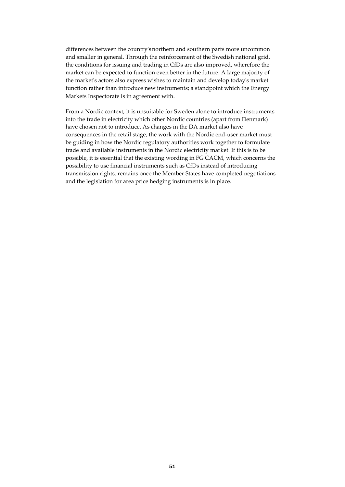differences between the country'snorthern and southern parts more uncommon and smaller in general. Through the reinforcement of the Swedish national grid, the conditions for issuing and trading in CfDs are also improved, wherefore the market can be expected to function even better in the future. A large majority of the market's actors also express wishes to maintain and develop today's market function rather than introduce new instruments; a standpoint which the Energy Markets Inspectorate is in agreement with.

From a Nordic context, it is unsuitable for Sweden alone to introduce instruments into the trade in electricity which other Nordic countries (apart from Denmark) have chosen not to introduce. As changes in the DA market also have consequences in the retail stage, the work with the Nordic end-user market must be guiding in how the Nordic regulatory authorities work together to formulate trade and available instruments in the Nordic electricity market. If this is to be possible, it is essential that the existing wording in FG CACM, which concerns the possibility to use financial instruments such as CfDs instead of introducing transmission rights, remains once the Member States have completed negotiations and the legislation for area price hedging instruments is in place.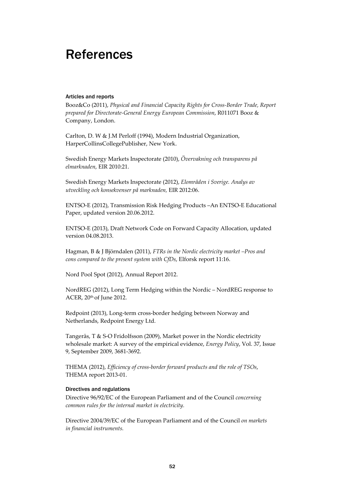# References

### Articles and reports

Booz&Co (2011), *Physical and Financial Capacity Rights for Cross-Border Trade, Report prepared for Directorate-General Energy European Commission*, R011071 Booz & Company, London.

Carlton, D. W & J.M Perloff (1994), Modern Industrial Organization, HarperCollinsCollegePublisher, New York.

Swedish Energy Markets Inspectorate (2010), *Övervakning och transparens på elmarknaden*, EIR 2010:21.

Swedish Energy Markets Inspectorate (2012), *Elområden i Sverige. Analys av utveckling och konsekvenser på marknaden,* EIR 2012:06.

ENTSO-E (2012), Transmission Risk Hedging Products –An ENTSO-E Educational Paper, updated version 20.06.2012.

ENTSO-E (2013), Draft Network Code on Forward Capacity Allocation, updated version 04.08.2013.

Hagman, B & J Björndalen (2011), *FTRs in the Nordic electricity market –Pros and cons compared to the present system with CfDs*, Elforsk report 11:16.

Nord Pool Spot (2012), Annual Report 2012.

NordREG (2012), Long Term Hedging within the Nordic – NordREG response to ACER, 20th of June 2012.

Redpoint (2013), Long-term cross-border hedging between Norway and Netherlands, Redpoint Energy Ltd.

Tangerås, T & S-O Fridolfsson (2009), Market power in the Nordic electricity wholesale market: A survey of the empirical evidence, *Energy Policy*, Vol. 37, Issue 9, September 2009, 3681-3692.

THEMA (2012), *Efficiency of cross-border forward products and the role of TSOs*, THEMA report 2013-01.

## Directives and regulations

Directive 96/92/EC of the European Parliament and of the Council *concerning common rules for the internal market in electricity.*

Directive 2004/39/EC of the European Parliament and of the Council *on markets in financial instruments.*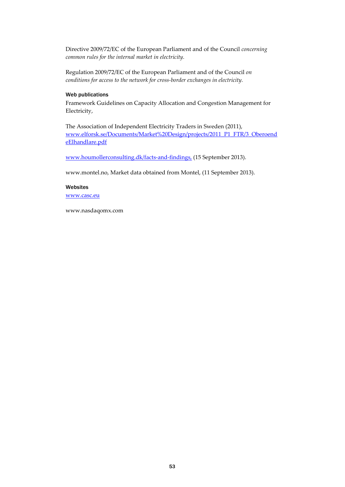Directive 2009/72/EC of the European Parliament and of the Council *concerning common rules for the internal market in electricity.*

Regulation 2009/72/EC of the European Parliament and of the Council *on conditions for access to the network for cross-border exchanges in electricity.*

### Web publications

Framework Guidelines on Capacity Allocation and Congestion Management for Electricity,

The Association of Independent Electricity Traders in Sweden (2011), [www.elforsk.se/Documents/Market%20Design/projects/2011\\_P1\\_FTR/3\\_Oberoend](http://www.elforsk.se/Documents/Market%20Design/projects/2011_P1_FTR/3_OberoendeElhandlare.pdf) [eElhandlare.pdf](http://www.elforsk.se/Documents/Market%20Design/projects/2011_P1_FTR/3_OberoendeElhandlare.pdf)

[www.houmollerconsulting.dk/facts-and-findings,](http://www.houmollerconsulting.dk/facts-and-findings,%20(15) (15 September 2013).

[www.montel.no, M](http://www.montel.no/)arket data obtained from Montel, (11 September 2013).

# Websites

[www.casc.eu](http://www.casc.eu/)

[www.nasdaqomx.com](http://www.nasdaqomx.com/)